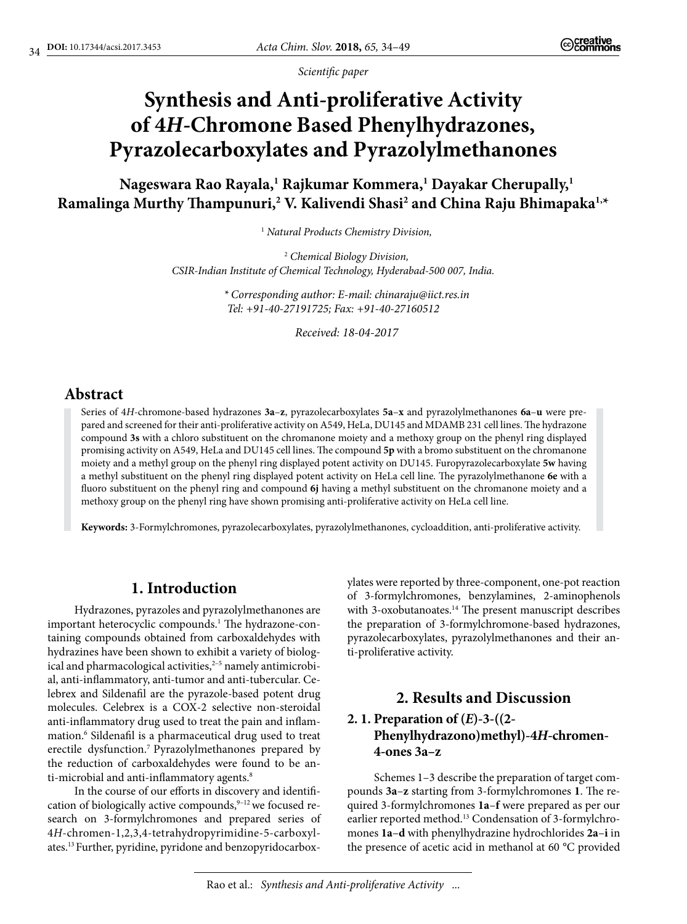*Scientific paper*

# **Synthesis and Anti-proliferative Activity of 4***H***-Chromone Based Phenylhydrazones, Pyrazolecarboxylates and Pyrazolylmethanones**

**Nageswara Rao Rayala,1 Rajkumar Kommera,1 Dayakar Cherupally,1 Ramalinga Murthy Thampunuri,2 V. Kalivendi Shasi2 and China Raju Bhimapaka1,\***

1  *Natural Products Chemistry Division,*

2  *Chemical Biology Division, CSIR-Indian Institute of Chemical Technology, Hyderabad-500 007, India.* 

> *\* Corresponding author: E-mail: chinaraju@iict.res.in Tel: +91-40-27191725; Fax: +91-40-27160512*

> > *Received: 18-04-2017*

# **Abstract**

Series of 4*H*-chromone-based hydrazones **3a**–**z**, pyrazolecarboxylates **5a**–**x** and pyrazolylmethanones **6a**–**u** were prepared and screened for their anti-proliferative activity on A549, HeLa, DU145 and MDAMB 231 cell lines. The hydrazone compound **3s** with a chloro substituent on the chromanone moiety and a methoxy group on the phenyl ring displayed promising activity on A549, HeLa and DU145 cell lines. The compound **5p** with a bromo substituent on the chromanone moiety and a methyl group on the phenyl ring displayed potent activity on DU145. Furopyrazolecarboxylate **5w** having a methyl substituent on the phenyl ring displayed potent activity on HeLa cell line. The pyrazolylmethanone **6e** with a fluoro substituent on the phenyl ring and compound **6j** having a methyl substituent on the chromanone moiety and a methoxy group on the phenyl ring have shown promising anti-proliferative activity on HeLa cell line.

**Keywords:** 3-Formylchromones, pyrazolecarboxylates, pyrazolylmethanones, cycloaddition, anti-proliferative activity.

# **1. Introduction**

Hydrazones, pyrazoles and pyrazolylmethanones are important heterocyclic compounds.<sup>1</sup> The hydrazone-containing compounds obtained from carboxaldehydes with hydrazines have been shown to exhibit a variety of biological and pharmacological activities,<sup>2-5</sup> namely antimicrobial, anti-inflammatory, anti-tumor and anti-tubercular. Celebrex and Sildenafil are the pyrazole-based potent drug molecules. Celebrex is a COX-2 selective non-steroidal anti-inflammatory drug used to treat the pain and inflammation.6 Sildenafil is a pharmaceutical drug used to treat erectile dysfunction.7 Pyrazolylmethanones prepared by the reduction of carboxaldehydes were found to be anti-microbial and anti-inflammatory agents.<sup>8</sup>

In the course of our efforts in discovery and identification of biologically active compounds,<sup>9-12</sup> we focused research on 3-formylchromones and prepared series of 4*H*-chromen-1,2,3,4-tetrahydropyrimidine-5-carboxylates.13 Further, pyridine, pyridone and benzopyridocarboxylates were reported by three-component, one-pot reaction of 3-formylchromones, benzylamines, 2-aminophenols with 3-oxobutanoates.<sup>14</sup> The present manuscript describes the preparation of 3-formylchromone-based hydrazones, pyrazolecarboxylates, pyrazolylmethanones and their anti-proliferative activity.

# **2. Results and Discussion 2. 1. Preparation of (***E***)-3-((2- Phenylhydrazono)methyl)-4***H***-chromen-4-ones 3a–z**

Schemes 1–3 describe the preparation of target compounds **3a**–**z** starting from 3-formylchromones **1**. The required 3-formylchromones **1a**–**f** were prepared as per our earlier reported method.<sup>13</sup> Condensation of 3-formylchromones **1a**–**d** with phenylhydrazine hydrochlorides **2a**–**i** in the presence of acetic acid in methanol at 60 °C provided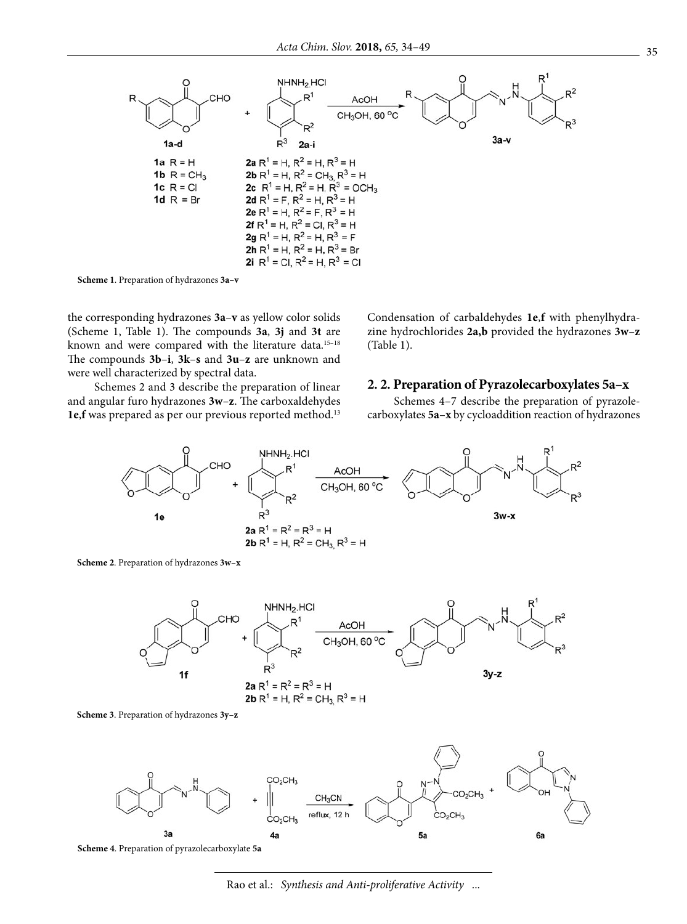

**Scheme 1**. Preparation of hydrazones **3a**–**v**

the corresponding hydrazones **3a**–**v** as yellow color solids (Scheme 1, Table 1). The compounds **3a**, **3j** and **3t** are known and were compared with the literature data.<sup>15-18</sup> The compounds **3b**–**i**, **3k**–**s** and **3u**–**z** are unknown and were well characterized by spectral data.

Schemes 2 and 3 describe the preparation of linear and angular furo hydrazones **3w**–**z**. The carboxaldehydes **1e**,**f** was prepared as per our previous reported method.13

Condensation of carbaldehydes **1e**,**f** with phenylhydrazine hydrochlorides **2a,b** provided the hydrazones **3w**–**z**  (Table 1).

#### **2. 2. Preparation of Pyrazolecarboxylates 5a–x**

Schemes 4–7 describe the preparation of pyrazolecarboxylates **5a**–**x** by cycloaddition reaction of hydrazones



**Scheme 2**. Preparation of hydrazones **3w**–**x**







**Scheme 4**. Preparation of pyrazolecarboxylate **5a**

Rao et al.: *Synthesis and Anti-proliferative Activity* ...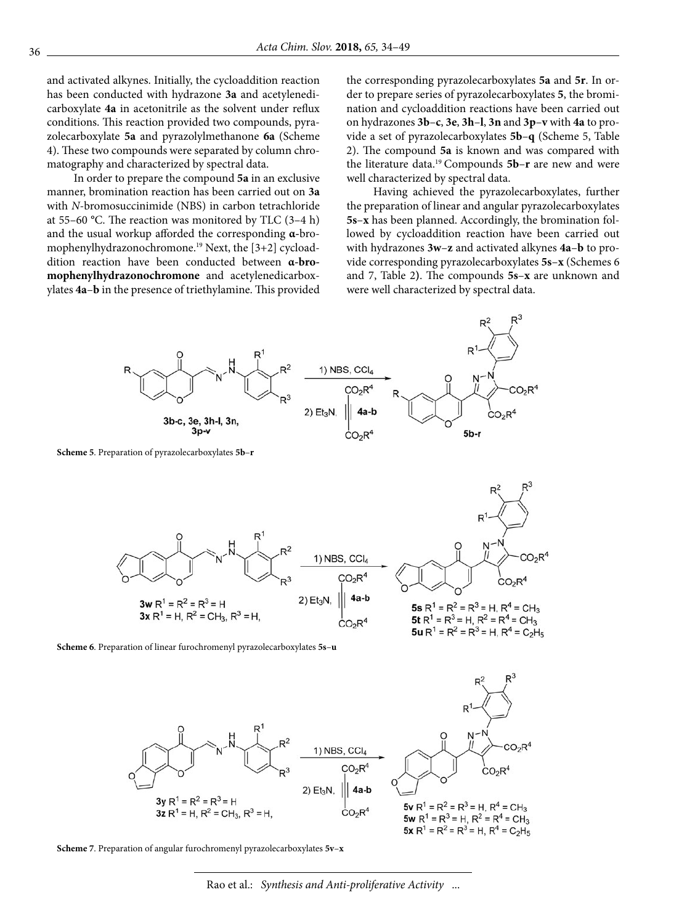and activated alkynes. Initially, the cycloaddition reaction has been conducted with hydrazone **3a** and acetylenedicarboxylate **4a** in acetonitrile as the solvent under reflux conditions. This reaction provided two compounds, pyrazolecarboxylate **5a** and pyrazolylmethanone **6a** (Scheme 4). These two compounds were separated by column chromatography and characterized by spectral data.

In order to prepare the compound **5a** in an exclusive manner, bromination reaction has been carried out on **3a** with *N*-bromosuccinimide (NBS) in carbon tetrachloride at 55–60 **°**C. The reaction was monitored by TLC (3–4 h) and the usual workup afforded the corresponding **α-**bromophenylhydrazonochromone.19 Next, the [3+2] cycloaddition reaction have been conducted between **α-bromophenylhydrazonochromone** and acetylenedicarboxylates **4a**–**b** in the presence of triethylamine. This provided the corresponding pyrazolecarboxylates **5a** and **5r**. In order to prepare series of pyrazolecarboxylates **5**, the bromination and cycloaddition reactions have been carried out on hydrazones **3b**–**c**, **3e**, **3h**–**l**, **3n** and **3p**–**v** with **4a** to provide a set of pyrazolecarboxylates **5b**–**q** (Scheme 5, Table 2). The compound **5a** is known and was compared with the literature data.19 Compounds **5b**–**r** are new and were well characterized by spectral data.

Having achieved the pyrazolecarboxylates, further the preparation of linear and angular pyrazolecarboxylates **5s**–**x** has been planned. Accordingly, the bromination followed by cycloaddition reaction have been carried out with hydrazones **3w**–**z** and activated alkynes **4a**–**b** to provide corresponding pyrazolecarboxylates **5s**–**x** (Schemes 6 and 7, Table 2**)**. The compounds **5s**–**x** are unknown and were well characterized by spectral data.



**Scheme 5**. Preparation of pyrazolecarboxylates **5b**–**r**



**Scheme 6**. Preparation of linear furochromenyl pyrazolecarboxylates **5s**–**u**





Rao et al.: *Synthesis and Anti-proliferative Activity* ...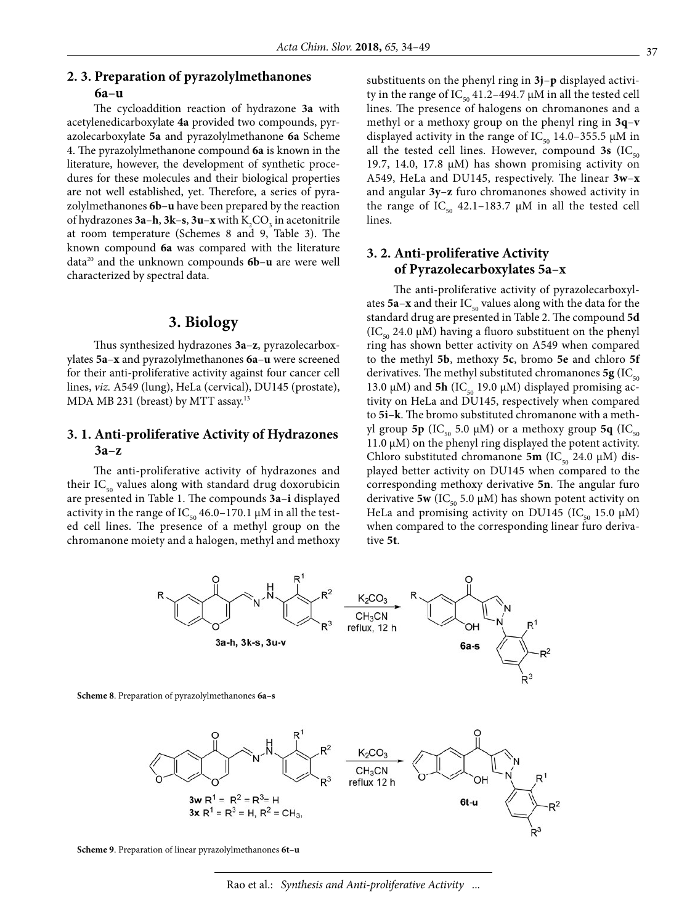# **2. 3. Preparation of pyrazolylmethanones**

#### **6a–u**

The cycloaddition reaction of hydrazone **3a** with acetylenedicarboxylate **4a** provided two compounds, pyrazolecarboxylate **5a** and pyrazolylmethanone **6a** Scheme 4. The pyrazolylmethanone compound **6a** is known in the literature, however, the development of synthetic procedures for these molecules and their biological properties are not well established, yet. Therefore, a series of pyrazolylmethanones **6b**–**u** have been prepared by the reaction of hydrazones **3a–h**, **3k–s**, **3u–x** with  $K_2CO_3$  in acetonitrile at room temperature (Schemes 8 and 9, Table 3). The known compound **6a** was compared with the literature data20 and the unknown compounds **6b**–**u** are were well characterized by spectral data.

# **3. Biology**

Thus synthesized hydrazones **3a**–**z**, pyrazolecarboxylates **5a**–**x** and pyrazolylmethanones **6a**–**u** were screened for their anti-proliferative activity against four cancer cell lines, *viz.* A549 (lung), HeLa (cervical), DU145 (prostate), MDA MB 231 (breast) by MTT assay.13

# **3. 1. Anti-proliferative Activity of Hydrazones 3a–z**

The anti-proliferative activity of hydrazones and their  $IC_{50}$  values along with standard drug doxorubicin are presented in Table 1. The compounds **3a**–**i** displayed activity in the range of IC<sub>50</sub> 46.0–170.1  $\mu$ M in all the tested cell lines. The presence of a methyl group on the chromanone moiety and a halogen, methyl and methoxy substituents on the phenyl ring in **3j**–**p** displayed activity in the range of IC<sub>50</sub> 41.2–494.7 μM in all the tested cell lines. The presence of halogens on chromanones and a methyl or a methoxy group on the phenyl ring in **3q**–**v** displayed activity in the range of  $IC_{50}$  14.0–355.5  $\mu$ M in all the tested cell lines. However, compound  $3s$  (IC<sub>50</sub>) 19.7, 14.0, 17.8  $\mu$ M) has shown promising activity on A549, HeLa and DU145, respectively. The linear **3w**–**x**  and angular **3y**–**z** furo chromanones showed activity in the range of  $IC_{50}$  42.1–183.7  $\mu$ M in all the tested cell lines.

# **3. 2. Anti-proliferative Activity of Pyrazolecarboxylates 5a–x**

The anti-proliferative activity of pyrazolecarboxylates  $5a-x$  and their  $IC_{50}$  values along with the data for the standard drug are presented in Table 2. The compound **5d** (IC<sub>50</sub> 24.0  $\mu$ M) having a fluoro substituent on the phenyl ring has shown better activity on A549 when compared to the methyl **5b**, methoxy **5c**, bromo **5e** and chloro **5f** derivatives. The methyl substituted chromanones  $5g$  (IC<sub>50</sub>) 13.0 μM) and **5h** (IC<sub>50</sub> 19.0 μM) displayed promising activity on HeLa and DU145, respectively when compared to **5i**–**k**. The bromo substituted chromanone with a methyl group **5p** (IC<sub>50</sub> 5.0 μM) or a methoxy group **5q** (IC<sub>50</sub>) 11.0 μM) on the phenyl ring displayed the potent activity. Chloro substituted chromanone **5m** (IC<sub>50</sub> 24.0 μM) displayed better activity on DU145 when compared to the corresponding methoxy derivative **5n**. The angular furo derivative **5w** (IC<sub>50</sub> 5.0  $\mu$ M) has shown potent activity on HeLa and promising activity on DU145 (IC<sub>50</sub> 15.0  $\mu$ M) when compared to the corresponding linear furo derivative **5t**.



**Scheme 9**. Preparation of linear pyrazolylmethanones **6t**–**u**

Rao et al.: *Synthesis and Anti-proliferative Activity* ...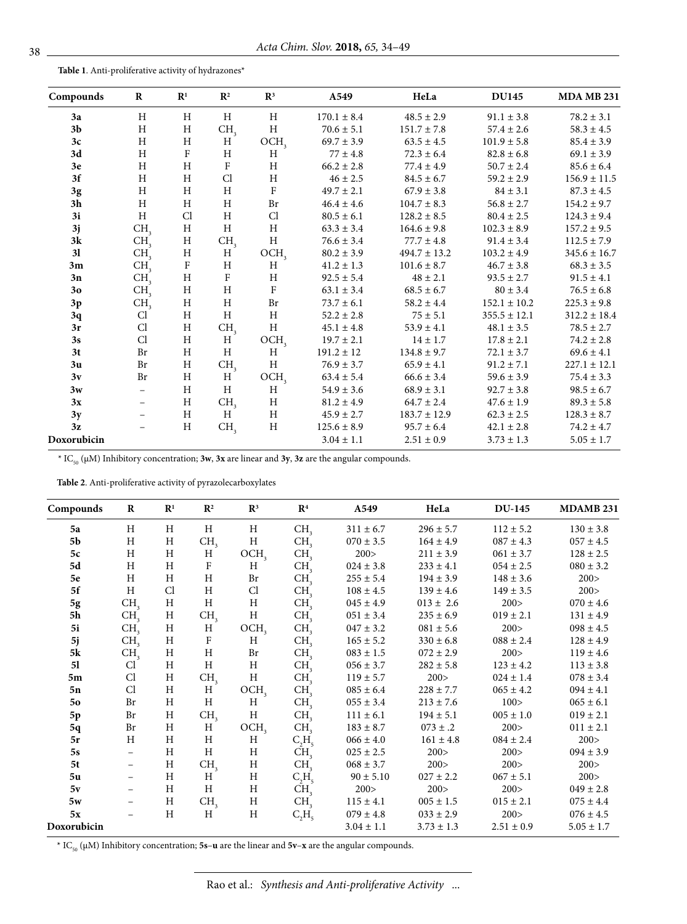**Table 1**. Anti-proliferative activity of hydrazones\*

| Compounds      | $\bf{R}$                 | $\mathbf{R}^1$            | $\mathbb{R}^2$  | $\mathbf{R}^3$            | A549            | HeLa             | <b>DU145</b>     | <b>MDA MB 231</b> |
|----------------|--------------------------|---------------------------|-----------------|---------------------------|-----------------|------------------|------------------|-------------------|
| 3a             | H                        | H                         | H               | H                         | $170.1 \pm 8.4$ | $48.5 \pm 2.9$   | $91.1 \pm 3.8$   | $78.2 \pm 3.1$    |
| 3 <sub>b</sub> | H                        | $\boldsymbol{\mathrm{H}}$ | CH <sub>3</sub> | H                         | $70.6 \pm 5.1$  | $151.7 \pm 7.8$  | $57.4 \pm 2.6$   | $58.3 \pm 4.5$    |
| 3c             | $\mathbf H$              | $\mathbf H$               | $\mathbf H$     | OCH <sub>3</sub>          | $69.7 \pm 3.9$  | $63.5 \pm 4.5$   | $101.9 \pm 5.8$  | $85.4 \pm 3.9$    |
| 3d             | H                        | ${\bf F}$                 | $\, {\rm H}$    | H                         | $77 \pm 4.8$    | $72.3 \pm 6.4$   | $82.8\pm6.8$     | $69.1 \pm 3.9$    |
| 3e             | $\rm H$                  | $\mathbf H$               | ${\bf F}$       | $\mathbf H$               | $66.2 \pm 2.8$  | $77.4 \pm 4.9$   | $50.7 \pm 2.4$   | $85.6 \pm 6.4$    |
| 3f             | H                        | H                         | Cl              | $\rm H$                   | $46 \pm 2.5$    | $84.5 \pm 6.7$   | $59.2 \pm 2.9$   | $156.9 \pm 11.5$  |
| $3\mathrm{g}$  | H                        | $\mathbf H$               | $\mathbf H$     | $\rm F$                   | $49.7 \pm 2.1$  | $67.9 \pm 3.8$   | $84 \pm 3.1$     | $87.3 \pm 4.5$    |
| 3h             | H                        | $\rm H$                   | $\, {\rm H}$    | Br                        | $46.4 \pm 4.6$  | $104.7 \pm 8.3$  | $56.8 \pm 2.7$   | $154.2 \pm 9.7$   |
| 3i             | H                        | Cl                        | $\, {\rm H}$    | Cl                        | $80.5 \pm 6.1$  | $128.2 \pm 8.5$  | $80.4 \pm 2.5$   | $124.3 \pm 9.4$   |
| 3j             | CH <sub>3</sub>          | $\rm H$                   | $\, {\rm H}$    | H                         | $63.3 \pm 3.4$  | $164.6 \pm 9.8$  | $102.3 \pm 8.9$  | $157.2 \pm 9.5$   |
| $3{\bf k}$     | CH <sub>3</sub>          | $\rm H$                   | CH <sub>3</sub> | $\rm H$                   | $76.6 \pm 3.4$  | $77.7 \pm 4.8$   | $91.4 \pm 3.4$   | $112.5 \pm 7.9$   |
| 31             | CH <sub>3</sub>          | $\rm H$                   | H <sub>1</sub>  | OCH <sub>3</sub>          | $80.2 \pm 3.9$  | $494.7 \pm 13.2$ | $103.2 \pm 4.9$  | $345.6 \pm 16.7$  |
| 3m             | CH <sub>3</sub>          | $\mathbf F$               | H               | H                         | $41.2 \pm 1.3$  | $101.6 \pm 8.7$  | $46.7 \pm 3.8$   | $68.3 \pm 3.5$    |
| 3n             | CH <sub>3</sub>          | $\mathbf H$               | $\rm F$         | H                         | $92.5 \pm 5.4$  | $48\pm2.1$       | $93.5 \pm 2.7$   | $91.5 \pm 4.1$    |
| 30             | CH <sub>3</sub>          | $\boldsymbol{\mathrm{H}}$ | $\, {\rm H}$    | $\rm F$                   | $63.1 \pm 3.4$  | $68.5 \pm 6.7$   | $80 \pm 3.4$     | $76.5 \pm 6.8$    |
| 3p             | CH <sub>3</sub>          | $\, {\rm H}$              | $\, {\rm H}$    | $\rm Br$                  | $73.7 \pm 6.1$  | $58.2 \pm 4.4$   | $152.1 \pm 10.2$ | $225.3 \pm 9.8$   |
| 3q             | Cl                       | H                         | H               | H                         | $52.2 \pm 2.8$  | $75\pm5.1$       | $355.5 \pm 12.1$ | $312.2 \pm 18.4$  |
| 3r             | Cl                       | $\mathbf H$               | CH <sub>3</sub> | $\rm H$                   | $45.1 \pm 4.8$  | $53.9 \pm 4.1$   | $48.1 \pm 3.5$   | $78.5 \pm 2.7$    |
| 3s             | Cl                       | $\rm H$                   | H               | OCH <sub>3</sub>          | $19.7 \pm 2.1$  | $14 \pm 1.7$     | $17.8 \pm 2.1$   | $74.2 \pm 2.8$    |
| 3t             | Br                       | $\boldsymbol{\mathrm{H}}$ | $\mathbf H$     | $\, {\rm H}$              | $191.2 \pm 12$  | $134.8 \pm 9.7$  | $72.1 \pm 3.7$   | $69.6 \pm 4.1$    |
| 3 <sub>u</sub> | Br                       | $\rm H$                   | CH <sub>3</sub> | $\rm H$                   | $76.9 \pm 3.7$  | $65.9 \pm 4.1$   | $91.2 \pm 7.1$   | $227.1 \pm 12.1$  |
| 3v             | Br                       | $\mathbf H$               | H <sub>1</sub>  | OCH <sub>3</sub>          | $63.4 \pm 5.4$  | $66.6 \pm 3.4$   | $59.6 \pm 3.9$   | $75.4 \pm 3.3$    |
| 3w             | $\overline{\phantom{0}}$ | $\rm H$                   | $\, {\rm H}$    | $\boldsymbol{\mathrm{H}}$ | $54.9 \pm 3.6$  | $68.9 \pm 3.1$   | $92.7 \pm 3.8$   | $98.5 \pm 6.7$    |
| 3x             |                          | H                         | CH <sub>3</sub> | $\mathbf H$               | $81.2 \pm 4.9$  | $64.7 \pm 2.4$   | $47.6 \pm 1.9$   | $89.3 \pm 5.8$    |
| 3y             |                          | $\rm H$                   | H <sup>1</sup>  | $\, {\rm H}$              | $45.9 \pm 2.7$  | $183.7 \pm 12.9$ | $62.3 \pm 2.5$   | $128.3 \pm 8.7$   |
| 3z             |                          | H                         | CH <sub>3</sub> | $\, {\rm H}$              | $125.6 \pm 8.9$ | $95.7 \pm 6.4$   | $42.1 \pm 2.8$   | $74.2 \pm 4.7$    |
| Doxorubicin    |                          |                           |                 |                           | $3.04 \pm 1.1$  | $2.51 \pm 0.9$   | $3.73 \pm 1.3$   | $5.05 \pm 1.7$    |

\* IC50 (μM) Inhibitory concentration; **3w**, **3x** are linear and **3y**, **3z** are the angular compounds.

**Table 2**. Anti-proliferative activity of pyrazolecarboxylates

| Compounds      | $\bf R$                  | $\mathbb{R}^1$ | $\mathbb{R}^2$  | $\mathbb{R}^3$   | $\mathbf{R}^4$  | A549           | HeLa           | <b>DU-145</b>  | <b>MDAMB 231</b> |
|----------------|--------------------------|----------------|-----------------|------------------|-----------------|----------------|----------------|----------------|------------------|
| 5a             | Η                        | H              | H               | H                | CH.             | $311 \pm 6.7$  | $296 \pm 5.7$  | $112 \pm 5.2$  | $130 \pm 3.8$    |
| 5 <sub>b</sub> | H                        | H              | CH <sub>3</sub> | H                | CH <sub>2</sub> | $070 \pm 3.5$  | $164 \pm 4.9$  | $087 \pm 4.3$  | $057 \pm 4.5$    |
| 5c             | H                        | $\,$ H         | H               | OCH <sub>3</sub> | CH <sub>2</sub> | 200>           | $211 \pm 3.9$  | $061 \pm 3.7$  | $128 \pm 2.5$    |
| 5d             | $\rm H$                  | $\,$ H         | $\rm F$         | H                | CH <sub>2</sub> | $024 \pm 3.8$  | $233 \pm 4.1$  | $054 \pm 2.5$  | $080\pm3.2$      |
| 5e             | H                        | H              | H               | Br               | CH <sub>2</sub> | $255 \pm 5.4$  | $194 \pm 3.9$  | $148 \pm 3.6$  | 200 >            |
| 5f             | H                        | Cl             | H               | Cl               | CH,             | $108 \pm 4.5$  | $139 \pm 4.6$  | $149 \pm 3.5$  | 200 >            |
| $5g$           | CH <sub>3</sub>          | H              | H               | H                | CH <sub>2</sub> | $045 \pm 4.9$  | $013 \pm 2.6$  | 200 >          | $070 \pm 4.6$    |
| 5h             | CH <sub>3</sub>          | H              | CH <sub>3</sub> | $\rm H$          | CH <sub>2</sub> | $051 \pm 3.4$  | $235 \pm 6.9$  | $019\pm2.1$    | $131 \pm 4.9$    |
| 5i             | CH <sub>3</sub>          | H              | Η               | OCH <sub>3</sub> | CH <sub>3</sub> | $047 \pm 3.2$  | $081 \pm 5.6$  | 200 >          | $098 \pm 4.5$    |
| 5j             | CH <sub>2</sub>          | H              | F               | Η                | CH <sub>2</sub> | $165 \pm 5.2$  | $330 \pm 6.8$  | $088 \pm 2.4$  | $128 \pm 4.9$    |
| $5\mathrm{k}$  | CH <sub>3</sub>          | H              | H               | Br               | CH <sub>2</sub> | $083 \pm 1.5$  | $072 \pm 2.9$  | 200 >          | $119 \pm 4.6$    |
| 51             | Cl                       | H              | H               | Η                | CH <sub>2</sub> | $056 \pm 3.7$  | $282 \pm 5.8$  | $123 \pm 4.2$  | $113 \pm 3.8$    |
| 5m             | Cl                       | H              | CH <sub>3</sub> | H                | CH <sub>2</sub> | $119 \pm 5.7$  | 200 >          | $024 \pm 1.4$  | $078 \pm 3.4$    |
| 5n             | Cl                       | H              | Η               | OCH <sub>3</sub> | CH <sub>2</sub> | $085 \pm 6.4$  | $228 \pm 7.7$  | $065 \pm 4.2$  | $094 \pm 4.1$    |
| 50             | Br                       | H              | H               | H                | CH <sub>2</sub> | $055 \pm 3.4$  | $213 \pm 7.6$  | 100 >          | $065 \pm 6.1$    |
| 5p             | Br                       | H              | CH <sub>3</sub> | H                | CH <sub>2</sub> | $111 \pm 6.1$  | $194 \pm 5.1$  | $005 \pm 1.0$  | $019 \pm 2.1$    |
| 5q             | Br                       | H              | H               | OCH <sub>3</sub> | CH <sub>2</sub> | $183 \pm 8.7$  | $073 \pm .2$   | 200 >          | $011 \pm 2.1$    |
| 5r             | H                        | H              | Η               | Η                | $C_2H_5$        | $066 \pm 4.0$  | $161 \pm 4.8$  | $084 \pm 2.4$  | 200 >            |
| 5s             | $\overline{\phantom{a}}$ | H              | H               | H                | CH <sub>2</sub> | $025 \pm 2.5$  | 200 >          | 200 >          | $094 \pm 3.9$    |
| 5t             | $\overline{\phantom{a}}$ | H              | CH <sub>3</sub> | $\rm H$          | CH <sub>2</sub> | $068 \pm 3.7$  | 200 >          | 200 >          | 200 >            |
| 5u             | $\overline{\phantom{m}}$ | H              | H               | Η                | $C_2H_5$        | $90 \pm 5.10$  | $027 \pm 2.2$  | $067 \pm 5.1$  | 200 >            |
| 5v             | $\overline{\phantom{a}}$ | H              | Η               | Η                | CH <sub>2</sub> | 200 >          | 200 >          | 200 >          | $049 \pm 2.8$    |
| 5w             | $\overline{\phantom{m}}$ | H              | CH <sub>3</sub> | Η                | CH <sub>3</sub> | $115 \pm 4.1$  | $005 \pm 1.5$  | $015 \pm 2.1$  | $075 \pm 4.4$    |
| 5x             |                          | H              | H               | Η                | $C_2H_5$        | $079 \pm 4.8$  | $033 \pm 2.9$  | 200 >          | $076 \pm 4.5$    |
| Doxorubicin    |                          |                |                 |                  |                 | $3.04 \pm 1.1$ | $3.73 \pm 1.3$ | $2.51 \pm 0.9$ | $5.05 \pm 1.7$   |

\* IC50 (μM) Inhibitory concentration; **5s**–**u** are the linear and **5v**–**x** are the angular compounds.

Rao et al.: *Synthesis and Anti-proliferative Activity* ...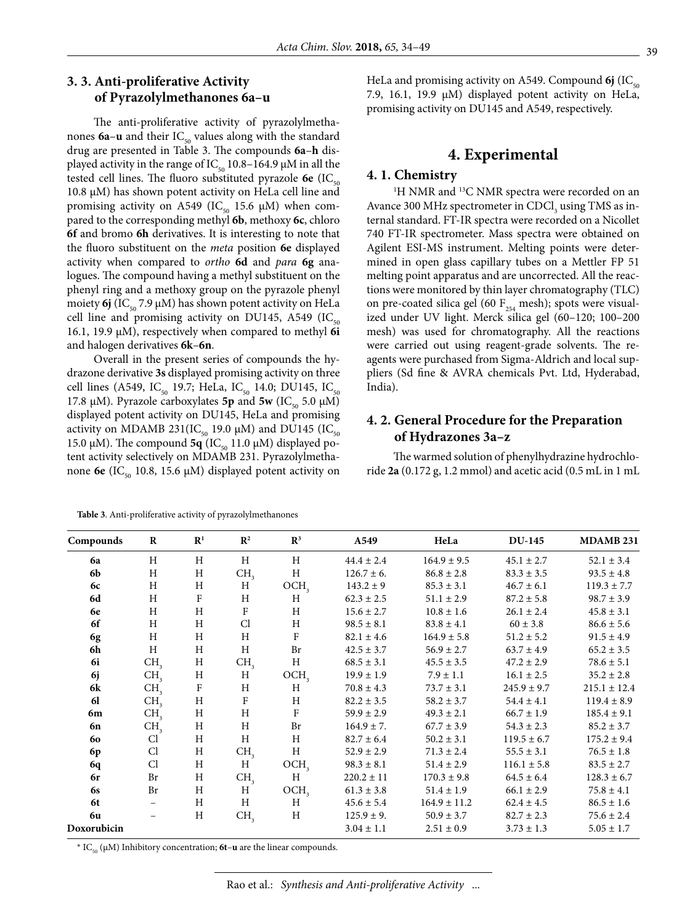# **3. 3. Anti-proliferative Activity of Pyrazolylmethanones 6a–u**

The anti-proliferative activity of pyrazolylmethanones  $6a-u$  and their  $IC_{50}$  values along with the standard drug are presented in Table 3. The compounds **6a**–**h** displayed activity in the range of IC<sub>50</sub> 10.8–164.9 μM in all the tested cell lines. The fluoro substituted pyrazole  $6e$  (IC<sub> $50$ </sub> 10.8 μM) has shown potent activity on HeLa cell line and promising activity on A549 (IC $_{50}$  15.6  $\mu$ M) when compared to the corresponding methyl **6b**, methoxy **6c**, chloro **6f** and bromo **6h** derivatives. It is interesting to note that the fluoro substituent on the *meta* position **6e** displayed activity when compared to *ortho* **6d** and *para* **6g** analogues. The compound having a methyl substituent on the phenyl ring and a methoxy group on the pyrazole phenyl moiety  $6j$  (IC<sub>50</sub> 7.9  $\mu$ M) has shown potent activity on HeLa cell line and promising activity on DU145, A549 (IC $_{50}$ 16.1, 19.9 μM), respectively when compared to methyl **6i** and halogen derivatives **6k**–**6n**.

Overall in the present series of compounds the hydrazone derivative **3s** displayed promising activity on three cell lines (A549, IC<sub>50</sub> 19.7; HeLa, IC<sub>50</sub> 14.0; DU145, IC<sub>50</sub> 17.8 μM). Pyrazole carboxylates **5p** and **5w** (IC<sub>50</sub> 5.0 μM) displayed potent activity on DU145, HeLa and promising activity on MDAMB 231(IC<sub>50</sub> 19.0 μM) and DU145 (IC<sub>50</sub> 15.0 μM). The compound **5q** (IC<sub>50</sub> 11.0 μM) displayed potent activity selectively on MDAMB 231. Pyrazolylmethanone **6e** (IC<sub>50</sub> 10.8, 15.6 μM) displayed potent activity on

HeLa and promising activity on A549. Compound  $6j$  (IC<sub>50</sub>) 7.9, 16.1, 19.9 μM) displayed potent activity on HeLa, promising activity on DU145 and A549, respectively.

# **4. Experimental**

#### **4. 1. Chemistry**

<sup>1</sup>H NMR and <sup>13</sup>C NMR spectra were recorded on an Avance 300 MHz spectrometer in  $CDCI<sub>3</sub>$  using TMS as internal standard. FT-IR spectra were recorded on a Nicollet 740 FT-IR spectrometer. Mass spectra were obtained on Agilent ESI-MS instrument. Melting points were determined in open glass capillary tubes on a Mettler FP 51 melting point apparatus and are uncorrected. All the reactions were monitored by thin layer chromatography (TLC) on pre-coated silica gel (60  $F_{254}$  mesh); spots were visualized under UV light. Merck silica gel (60–120; 100–200 mesh) was used for chromatography. All the reactions were carried out using reagent-grade solvents. The reagents were purchased from Sigma-Aldrich and local suppliers (Sd fine & AVRA chemicals Pvt. Ltd, Hyderabad, India).

# **4. 2. General Procedure for the Preparation of Hydrazones 3a–z**

The warmed solution of phenylhydrazine hydrochloride **2a** (0.172 g, 1.2 mmol) and acetic acid (0.5 mL in 1 mL

| Compounds      | $\bf{R}$                 | $\mathbf{R}^1$ | $\mathbf{R}^2$  | $\mathbb{R}^3$   | A549            | HeLa             | <b>DU-145</b>   | MDAMB 231        |
|----------------|--------------------------|----------------|-----------------|------------------|-----------------|------------------|-----------------|------------------|
| 6a             | H                        | H              | H               | H                | $44.4 \pm 2.4$  | $164.9 \pm 9.5$  | $45.1 \pm 2.7$  | $52.1 \pm 3.4$   |
| 6b             | H                        | H              | CH <sub>3</sub> | H                | $126.7 \pm 6$ . | $86.8 \pm 2.8$   | $83.3 \pm 3.5$  | $93.5 \pm 4.8$   |
| 6c             | H                        | H              | H               | OCH <sub>3</sub> | $143.2 \pm 9$   | $85.3 \pm 3.1$   | $46.7 \pm 6.1$  | $119.3 \pm 7.7$  |
| 6d             | H                        | F              | H               | Η                | $62.3 \pm 2.5$  | $51.1 \pm 2.9$   | $87.2 \pm 5.8$  | $98.7 \pm 3.9$   |
| 6e             | H                        | H              | $\mathbf F$     | H                | $15.6 \pm 2.7$  | $10.8 \pm 1.6$   | $26.1 \pm 2.4$  | $45.8 \pm 3.1$   |
| 6f             | H                        | H              | C <sub>1</sub>  | H                | $98.5 \pm 8.1$  | $83.8 \pm 4.1$   | $60 \pm 3.8$    | $86.6 \pm 5.6$   |
| 6g             | H                        | H              | H               | $\rm F$          | $82.1 \pm 4.6$  | $164.9 \pm 5.8$  | $51.2 \pm 5.2$  | $91.5 \pm 4.9$   |
| 6h             | H                        | H              | H               | <b>Br</b>        | $42.5 \pm 3.7$  | $56.9 \pm 2.7$   | $63.7 \pm 4.9$  | $65.2 \pm 3.5$   |
| 6i             | CH <sub>3</sub>          | H              | CH <sub>3</sub> | H                | $68.5 \pm 3.1$  | $45.5 \pm 3.5$   | $47.2 \pm 2.9$  | $78.6 \pm 5.1$   |
| 6j             | CH <sub>3</sub>          | H              | H               | OCH <sub>3</sub> | $19.9 \pm 1.9$  | $7.9 \pm 1.1$    | $16.1 \pm 2.5$  | $35.2 \pm 2.8$   |
| 6k             | CH <sub>2</sub>          | $\rm F$        | H               | H                | $70.8 \pm 4.3$  | $73.7 \pm 3.1$   | $245.9 \pm 9.7$ | $215.1 \pm 12.4$ |
| 61             | CH <sub>2</sub>          | H              | $\rm F$         | H                | $82.2 \pm 3.5$  | $58.2 \pm 3.7$   | $54.4 \pm 4.1$  | $119.4 \pm 8.9$  |
| 6m             | CH <sub>2</sub>          | H              | H               | $\rm F$          | $59.9 \pm 2.9$  | $49.3 \pm 2.1$   | $66.7 \pm 1.9$  | $185.4 \pm 9.1$  |
| 6n             | CH <sub>3</sub>          | H              | Η               | Br               | $164.9 \pm 7$ . | $67.7 \pm 3.9$   | $54.3 \pm 2.3$  | $85.2 \pm 3.7$   |
| 60             | Cl                       | H              | H               | H                | $82.7 \pm 6.4$  | $50.2 \pm 3.1$   | $119.5 \pm 6.7$ | $175.2 \pm 9.4$  |
| 6 <sub>p</sub> | Cl                       | Η              | CH <sub>3</sub> | H                | $52.9 \pm 2.9$  | $71.3 \pm 2.4$   | $55.5 \pm 3.1$  | $76.5 \pm 1.8$   |
| 6q             | C <sub>1</sub>           | H              | H               | OCH <sub>3</sub> | $98.3 \pm 8.1$  | $51.4 \pm 2.9$   | $116.1 \pm 5.8$ | $83.5 \pm 2.7$   |
| 6r             | Br                       | H              | CH <sub>3</sub> | H                | $220.2 \pm 11$  | $170.3 \pm 9.8$  | $64.5 \pm 6.4$  | $128.3 \pm 6.7$  |
| <b>6s</b>      | Br                       | H              | H               | OCH <sub>3</sub> | $61.3 \pm 3.8$  | $51.4 \pm 1.9$   | $66.1 \pm 2.9$  | $75.8 \pm 4.1$   |
| 6t             | $\overline{\phantom{a}}$ | H              | H               | H                | $45.6 \pm 5.4$  | $164.9 \pm 11.2$ | $62.4 \pm 4.5$  | $86.5 \pm 1.6$   |
| 6u             |                          | H              | CH <sub>3</sub> | $H_{\rm}$        | $125.9 \pm 9$ . | $50.9 \pm 3.7$   | $82.7 \pm 2.3$  | $75.6 \pm 2.4$   |
| Doxorubicin    |                          |                |                 |                  | $3.04 \pm 1.1$  | $2.51 \pm 0.9$   | $3.73 \pm 1.3$  | $5.05 \pm 1.7$   |

**Table 3**. Anti-proliferative activity of pyrazolylmethanones

\* IC<sub>50</sub> (μM) Inhibitory concentration; **6t**–**u** are the linear compounds.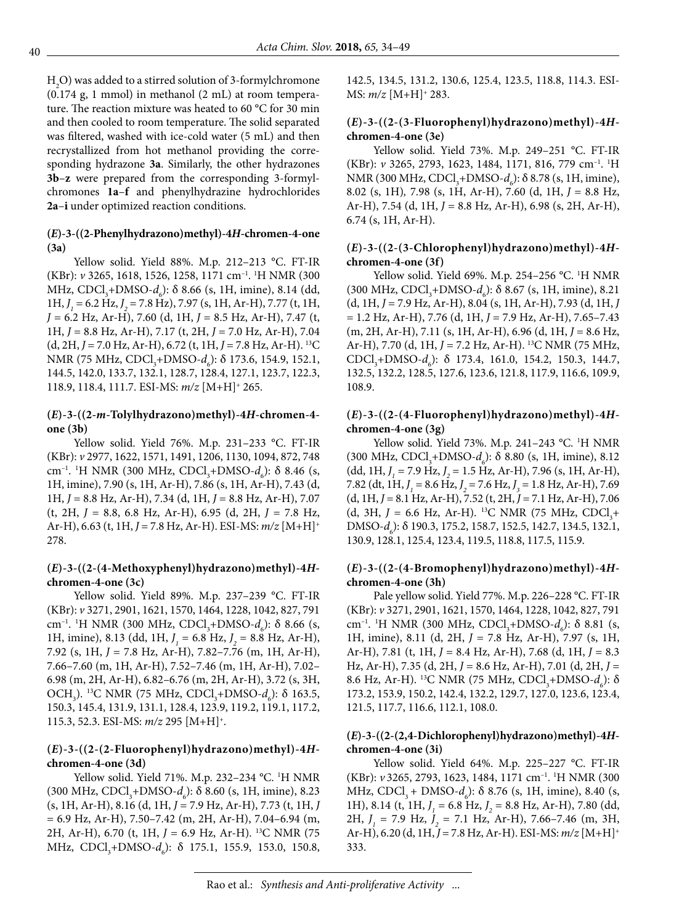$H<sub>2</sub>O$ ) was added to a stirred solution of 3-formylchromone (0.174 g, 1 mmol) in methanol (2 mL) at room temperature. The reaction mixture was heated to 60 °C for 30 min and then cooled to room temperature. The solid separated was filtered, washed with ice-cold water (5 mL) and then recrystallized from hot methanol providing the corresponding hydrazone **3a**. Similarly, the other hydrazones **3b**–**z** were prepared from the corresponding 3-formylchromones **1a**–**f** and phenylhydrazine hydrochlorides **2a**–**i** under optimized reaction conditions.

### **(***E***)-3-((2-Phenylhydrazono)methyl)-4***H***-chromen-4-one (3a)**

Yellow solid. Yield 88%. M.p. 212–213 °C. FT-IR (KBr): *v* 3265, 1618, 1526, 1258, 1171 cm–1. 1 H NMR (300 MHz, CDCl<sub>3</sub>+DMSO-*d<sub>6</sub>*): δ 8.66 (s, 1H, imine), 8.14 (dd, 1H, *J 1 =* 6.2 Hz, *J 2* = 7.8 Hz), 7.97 (s, 1H, Ar-H), 7.77 (t, 1H, *J =* 6.2 Hz, Ar-H), 7.60 (d, 1H, *J* = 8.5 Hz, Ar-H), 7.47 (t, 1H, *J* = 8.8 Hz, Ar-H), 7.17 (t, 2H, *J* = 7.0 Hz, Ar-H), 7.04 (d, 2H, *J* = 7.0 Hz, Ar-H), 6.72 (t, 1H, *J* = 7.8 Hz, Ar-H). 13C NMR (75 MHz, CDCl<sub>3</sub>+DMSO-*d<sub>6</sub>*): δ 173.6, 154.9, 152.1, 144.5, 142.0, 133.7, 132.1, 128.7, 128.4, 127.1, 123.7, 122.3, 118.9, 118.4, 111.7. ESI-MS: *m/z* [M+H]+ 265.

# **(***E***)-3-((2-***m***-Tolylhydrazono)methyl)-4***H***-chromen-4 one (3b)**

Yellow solid. Yield 76%. M.p. 231–233 °C. FT-IR (KBr): *v* 2977, 1622, 1571, 1491, 1206, 1130, 1094, 872, 748 cm<sup>-1</sup>. <sup>1</sup>H NMR (300 MHz, CDCl<sub>3</sub>+DMSO-*d<sub>6</sub>*): δ 8.46 (s, 1H, imine), 7.90 (s, 1H, Ar-H), 7.86 (s, 1H, Ar-H), 7.43 (d, 1H, *J* = 8.8 Hz, Ar-H), 7.34 (d, 1H, *J* = 8.8 Hz, Ar-H), 7.07 (t, 2H, *J* = 8.8, 6.8 Hz, Ar-H), 6.95 (d, 2H, *J* = 7.8 Hz, Ar-H), 6.63 (t, 1H, *J* = 7.8 Hz, Ar-H). ESI-MS: *m/z* [M+H]+ 278.

# **(***E***)-3-((2-(4-Methoxyphenyl)hydrazono)methyl)-4***H***chromen-4-one (3c)**

Yellow solid. Yield 89%. M.p. 237–239 °C. FT-IR (KBr): *v* 3271, 2901, 1621, 1570, 1464, 1228, 1042, 827, 791 cm<sup>-1</sup>. <sup>1</sup>H NMR (300 MHz, CDCl<sub>3</sub>+DMSO-*d<sub>6</sub>*): δ 8.66 (s, 1H, imine), 8.13 (dd, 1H,  $J_1 = 6.8$  Hz,  $J_2 = 8.8$  Hz, Ar-H), 7.92 (s, 1H, *J* = 7.8 Hz, Ar-H), 7.82–7.76 (m, 1H, Ar-H), 7.66–7.60 (m, 1H, Ar-H), 7.52–7.46 (m, 1H, Ar-H), 7.02– 6.98 (m, 2H, Ar-H), 6.82–6.76 (m, 2H, Ar-H), 3.72 (s, 3H, OCH<sub>3</sub>). <sup>13</sup>C NMR (75 MHz, CDCl<sub>3</sub>+DMSO-*d<sub>6</sub>*): δ 163.5, 150.3, 145.4, 131.9, 131.1, 128.4, 123.9, 119.2, 119.1, 117.2, 115.3, 52.3. ESI-MS: *m/z* 295 [M+H]+.

# **(***E***)-3-((2-(2-Fluorophenyl)hydrazono)methyl)-4***H***chromen-4-one (3d)**

Yellow solid. Yield 71%. M.p. 232–234 °C. 1 H NMR (300 MHz, CDCl<sub>3</sub>+DMSO-*d<sub>6</sub>*): δ 8.60 (s, 1H, imine), 8.23 (s, 1H, Ar-H), 8.16 (d, 1H, *J* = 7.9 Hz, Ar-H), 7.73 (t, 1H, *J*  = 6.9 Hz, Ar-H), 7.50–7.42 (m, 2H, Ar-H), 7.04–6.94 (m, 2H, Ar-H), 6.70 (t, 1H, *J* = 6.9 Hz, Ar-H). 13C NMR (75 MHz, CDCl<sub>3</sub>+DMSO-*d<sub>6</sub>*): δ 175.1, 155.9, 153.0, 150.8, 142.5, 134.5, 131.2, 130.6, 125.4, 123.5, 118.8, 114.3. ESI-MS: *m/z* [M+H]+ 283.

# **(***E***)-3-((2-(3-Fluorophenyl)hydrazono)methyl)-4***H***chromen-4-one (3e)**

Yellow solid. Yield 73%. M.p. 249–251 °C. FT-IR (KBr): *v* 3265, 2793, 1623, 1484, 1171, 816, 779 cm–1. 1 H NMR (300 MHz, CDCl<sub>3</sub>+DMSO-*d<sub>6</sub>*): δ 8.78 (s, 1H, imine), 8.02 (s, 1H)*,* 7.98 (s, 1H, Ar-H), 7.60 (d, 1H, *J* = 8.8 Hz, Ar-H), 7.54 (d, 1H, *J* = 8.8 Hz, Ar-H), 6.98 (s, 2H, Ar-H), 6.74 (s, 1H, Ar-H).

# **(***E***)-3-((2-(3-Chlorophenyl)hydrazono)methyl)-4***H***chromen-4-one (3f)**

Yellow solid. Yield 69%. M.p. 254–256 °C. 1 H NMR (300 MHz, CDCl<sub>3</sub>+DMSO- $d_6$ ):  $\delta$  8.67 (s, 1H, imine), 8.21 (d, 1H, *J* = 7.9 Hz, Ar-H), 8.04 (s, 1H, Ar-H), 7.93 (d, 1H, *J*  = 1.2 Hz, Ar-H), 7.76 (d, 1H, *J* = 7.9 Hz, Ar-H), 7.65–7.43 (m, 2H, Ar-H), 7.11 (s, 1H, Ar-H), 6.96 (d, 1H, J = 8.6 Hz, Ar-H), 7.70 (d, 1H, *J* = 7.2 Hz, Ar-H). 13C NMR (75 MHz, CDCl<sub>3</sub>+DMSO-*d<sub>6</sub>*): δ 173.4, 161.0, 154.2, 150.3, 144.7, 132.5, 132.2, 128.5, 127.6, 123.6, 121.8, 117.9, 116.6, 109.9, 108.9.

# **(***E***)-3-((2-(4-Fluorophenyl)hydrazono)methyl)-4***H***chromen-4-one (3g)**

Yellow solid. Yield 73%. M.p. 241-243 °C. <sup>1</sup>H NMR (300 MHz, CDCl<sub>3</sub>+DMSO- $d_6$ ):  $\delta$  8.80 (s, 1H, imine), 8.12  $(dd, 1H, J<sub>1</sub> = 7.9 Hz, J<sub>2</sub> = 1.5 Hz, Ar-H$ ), 7.96 (s, 1H, Ar-H), 7.82 (dt, 1H, *J <sup>1</sup>* = 8.6 Hz, *J 2* = 7.6 Hz, *J 3* = 1.8 Hz, Ar-H), 7.69 (d, 1H, *J* = 8.1 Hz, Ar-H), 7.52 (t, 2H, *J* = 7.1 Hz, Ar-H), 7.06 (d, 3H,  $J = 6.6$  Hz, Ar-H). <sup>13</sup>C NMR (75 MHz, CDCl<sub>3</sub>+ DMSO-*d<sub>6</sub>*): δ 190.3, 175.2, 158.7, 152.5, 142.7, 134.5, 132.1, 130.9, 128.1, 125.4, 123.4, 119.5, 118.8, 117.5, 115.9.

# **(***E***)-3-((2-(4-Bromophenyl)hydrazono)methyl)-4***H***chromen-4-one (3h)**

Pale yellow solid. Yield 77%. M.p. 226–228 °C. FT-IR (KBr): *v* 3271, 2901, 1621, 1570, 1464, 1228, 1042, 827, 791 cm<sup>-1</sup>. <sup>1</sup>H NMR (300 MHz, CDCl<sub>3</sub>+DMSO-*d<sub>6</sub>*): δ 8.81 (s, 1H, imine), 8.11 (d, 2H, *J* = 7.8 Hz, Ar-H), 7.97 (s, 1H, Ar-H), 7.81 (t, 1H, *J* = 8.4 Hz, Ar-H), 7.68 (d, 1H, *J* = 8.3 Hz, Ar-H), 7.35 (d, 2H, *J* = 8.6 Hz, Ar-H), 7.01 (d, 2H, *J* = 8.6 Hz, Ar-H). <sup>13</sup>C NMR (75 MHz, CDCl<sub>3</sub>+DMSO*-d<sub>6</sub>*): δ 173.2, 153.9, 150.2, 142.4, 132.2, 129.7, 127.0, 123.6, 123.4, 121.5, 117.7, 116.6, 112.1, 108.0.

# **(***E***)-3-((2-(2,4-Dichlorophenyl)hydrazono)methyl)-4***H***chromen-4-one (3i)**

Yellow solid. Yield 64%. M.p. 225–227 °C. FT-IR (KBr): *v* 3265, 2793, 1623, 1484, 1171 cm–1. 1 H NMR (300 MHz, CDCl<sub>3</sub> + DMSO-*d*<sub>6</sub>): δ 8.76 (s, 1H, imine), 8.40 (s, 1H), 8.14 (t, 1H, *J <sup>1</sup>* = 6.8 Hz, *J 2* = 8.8 Hz, Ar-H), 7.80 (dd, 2H, *J <sup>1</sup>* = 7.9 Hz, *J 2* = 7.1 Hz, Ar-H), 7.66–7.46 (m, 3H, Ar-H), 6.20 (d, 1H, *J* = 7.8 Hz, Ar-H). ESI-MS: *m/z* [M+H]+ 333.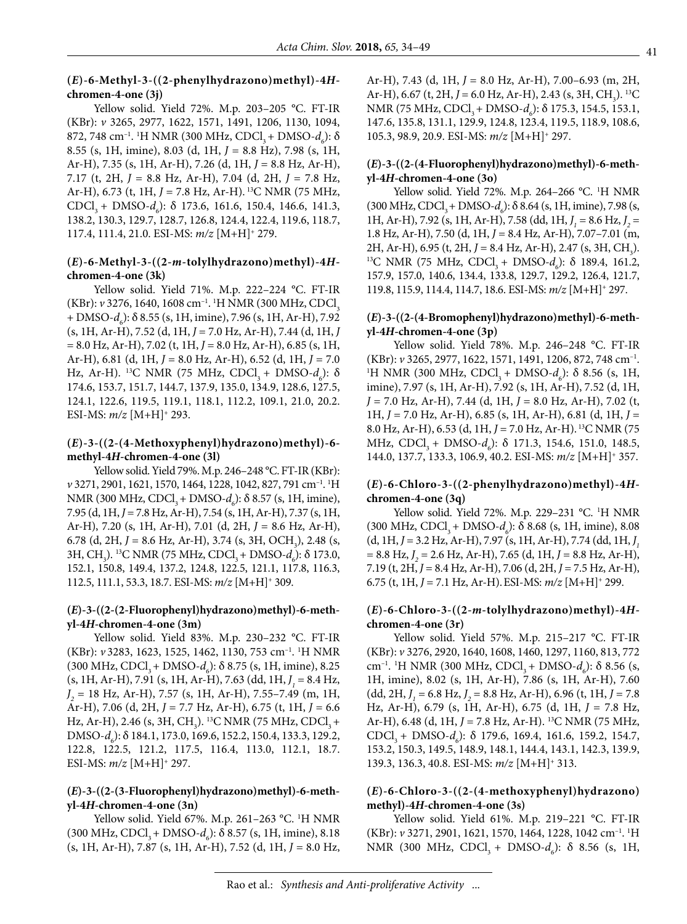#### **(***E***)-6-Methyl-3-((2-phenylhydrazono)methyl)-4***H***chromen-4-one (3j)**

Yellow solid. Yield 72%. M.p. 203–205 °C. FT-IR (KBr): *v* 3265, 2977, 1622, 1571, 1491, 1206, 1130, 1094, 872, 748 cm<sup>-1</sup>. <sup>1</sup>H NMR (300 MHz, CDCl<sub>3</sub> + DMSO*-d<sub>6</sub>*): δ 8.55 (s, 1H, imine), 8.03 (d, 1H, *J =* 8.8 Hz), 7.98 (s, 1H, Ar-H), 7.35 (s, 1H, Ar-H), 7.26 (d, 1H, *J* = 8.8 Hz, Ar-H), 7.17 (t, 2H, *J* = 8.8 Hz, Ar-H), 7.04 (d, 2H, *J* = 7.8 Hz, Ar-H), 6.73 (t, 1H, *J* = 7.8 Hz, Ar-H). 13C NMR (75 MHz, CDCl<sub>3</sub> + DMSO-*d*<sub>6</sub>): δ 173.6, 161.6, 150.4, 146.6, 141.3, 138.2, 130.3, 129.7, 128.7, 126.8, 124.4, 122.4, 119.6, 118.7, 117.4, 111.4, 21.0. ESI-MS: *m/z* [M+H]+ 279.

#### **(***E***)-6-Methyl-3-((2-***m***-tolylhydrazono)methyl)-4***H***chromen-4-one (3k)**

Yellow solid. Yield 71%. M.p. 222–224 °C. FT-IR (KBr): *v* 3276, 1640, 1608 cm<sup>-1</sup>. <sup>1</sup>H NMR (300 MHz, CDCl<sub>3</sub> + DMSO- $d_6$ ):  $\delta$  8.55 (s, 1H, imine), 7.96 (s, 1H, Ar-H), 7.92 (s, 1H, Ar-H), 7.52 (d, 1H, *J* = 7.0 Hz, Ar-H), 7.44 (d, 1H, *J*  = 8.0 Hz, Ar-H), 7.02 (t, 1H, *J* = 8.0 Hz, Ar-H), 6.85 (s, 1H, Ar-H), 6.81 (d, 1H, *J* = 8.0 Hz, Ar-H), 6.52 (d, 1H, *J* = 7.0 Hz, Ar-H). <sup>13</sup>C NMR (75 MHz, CDCl<sub>3</sub> + DMSO-*d<sub>6</sub>*): δ 174.6, 153.7, 151.7, 144.7, 137.9, 135.0, 134.9, 128.6, 127.5, 124.1, 122.6, 119.5, 119.1, 118.1, 112.2, 109.1, 21.0, 20.2. ESI-MS: *m/z* [M+H]+ 293.

#### **(***E***)-3-((2-(4-Methoxyphenyl)hydrazono)methyl)-6 methyl-4***H***-chromen-4-one (3l)**

Yellow solid. Yield 79%. M.p. 246–248 °C. FT-IR (KBr): *v* 3271, 2901, 1621, 1570, 1464, 1228, 1042, 827, 791 cm–1. 1 H NMR (300 MHz, CDCl<sub>3</sub> + DMSO-*d<sub>6</sub>*): δ 8.57 (s, 1H, imine), 7.95 (d, 1H, *J* = 7.8 Hz,Ar-H), 7.54 (s, 1H,Ar-H), 7.37 (s, 1H, Ar-H), 7.20 (s, 1H, Ar-H), 7.01 (d, 2H,  $J = 8.6$  Hz, Ar-H), 6.78 (d, 2H,  $J = 8.6$  Hz, Ar-H), 3.74 (s, 3H, OCH<sub>3</sub>), 2.48 (s, 3H, CH<sub>3</sub>). <sup>13</sup>C NMR (75 MHz, CDCl<sub>3</sub> + DMSO-*d<sub>6</sub>*): δ 173.0, 152.1, 150.8, 149.4, 137.2, 124.8, 122.5, 121.1, 117.8, 116.3, 112.5, 111.1, 53.3, 18.7. ESI-MS: *m/z* [M+H]+ 309.

#### **(***E***)-3-((2-(2-Fluorophenyl)hydrazono)methyl)-6-methyl-4***H***-chromen-4-one (3m)**

Yellow solid. Yield 83%. M.p. 230–232 °C. FT-IR (KBr): *v* 3283, 1623, 1525, 1462, 1130, 753 cm–1. 1 H NMR (300 MHz, CDCl<sub>3</sub> + DMSO- $d_6$ ):  $\delta$  8.75 (s, 1H, imine), 8.25 (s, 1H, Ar-H), 7.91 (s, 1H, Ar-H), 7.63 (dd, 1H, *J <sup>1</sup>* = 8.4 Hz, *J 2* = 18 Hz, Ar-H), 7.57 (s, 1H, Ar-H), 7.55–7.49 (m, 1H, Ar-H), 7.06 (d, 2H, *J* = 7.7 Hz, Ar-H), 6.75 (t, 1H, *J* = 6.6 Hz, Ar-H), 2.46 (s, 3H, CH<sub>3</sub>). <sup>13</sup>C NMR (75 MHz, CDCl<sub>3</sub> + DMSO-*d<sub>6</sub>*): δ 184.1, 173.0, 169.6, 152.2, 150.4, 133.3, 129.2, 122.8, 122.5, 121.2, 117.5, 116.4, 113.0, 112.1, 18.7. ESI-MS: *m/z* [M+H]+ 297.

#### **(***E***)-3-((2-(3-Fluorophenyl)hydrazono)methyl)-6-methyl-4***H***-chromen-4-one (3n)**

Yellow solid. Yield 67%. M.p. 261–263 °C. 1 H NMR (300 MHz, CDCl<sub>3</sub> + DMSO- $d_6$ ):  $\delta$  8.57 (s, 1H, imine), 8.18 (s, 1H, Ar-H), 7.87 (s, 1H, Ar-H), 7.52 (d, 1H, *J* = 8.0 Hz, Ar-H), 7.43 (d, 1H, *J* = 8.0 Hz, Ar-H), 7.00–6.93 (m, 2H, Ar-H), 6.67 (t, 2H, J = 6.0 Hz, Ar-H), 2.43 (s, 3H, CH<sub>3</sub>). <sup>13</sup>C NMR (75 MHz, CDCl<sub>3</sub> + DMSO*-d<sub>6</sub>*): δ 175.3, 154.5, 153.1, 147.6, 135.8, 131.1, 129.9, 124.8, 123.4, 119.5, 118.9, 108.6, 105.3, 98.9, 20.9. ESI-MS: *m/z* [M+H]+ 297.

#### **(***E***)-3-((2-(4-Fluorophenyl)hydrazono)methyl)-6-methyl-4***H***-chromen-4-one (3o)**

Yellow solid. Yield 72%. M.p. 264–266 °C. 1 H NMR  $(300 \text{ MHz}, \text{CDCl}_3 + \text{DMSO-}d_6)$ : δ 8.64 (s, 1H, imine), 7.98 (s, 1H, Ar-H), 7.92 (s, 1H, Ar-H), 7.58 (dd, 1H, *J <sup>1</sup>* = 8.6 Hz, *J 2* = 1.8 Hz, Ar-H), 7.50 (d, 1H, *J* = 8.4 Hz, Ar-H), 7.07–7.01 (m, 2H, Ar-H), 6.95 (t, 2H,  $J = 8.4$  Hz, Ar-H), 2.47 (s, 3H, CH<sub>2</sub>). 2H, Ar-H), 6.95 (t, 2H, J = 8.4 Hz, Ar-H), 2.47 (s, 3H, CH<sub>3</sub>).<br><sup>13</sup>C NMR (75 MHz, CDCl<sub>3</sub> + DMSO-*d<sub>6</sub>*): δ 189.4, 161.2, 157.9, 157.0, 140.6, 134.4, 133.8, 129.7, 129.2, 126.4, 121.7, 119.8, 115.9, 114.4, 114.7, 18.6. ESI-MS: *m/z* [M+H]+ 297.

#### **(***E***)-3-((2-(4-Bromophenyl)hydrazono)methyl)-6-methyl-4***H***-chromen-4-one (3p)**

Yellow solid. Yield 78%. M.p. 246–248 °C. FT-IR (KBr): *<sup>v</sup>* 3265, 2977, 1622, 1571, 1491, 1206, 872, 748 cm–1. 1 H NMR (300 MHz, CDCl<sub>3</sub> + DMSO- $d_6$ ): δ 8.56 (s, 1H, imine), 7.97 (s, 1H, Ar-H), 7.92 (s, 1H, Ar-H), 7.52 (d, 1H, *J* = 7.0 Hz, Ar-H), 7.44 (d, 1H, *J* = 8.0 Hz, Ar-H), 7.02 (t, 1H, *J* = 7.0 Hz, Ar-H), 6.85 (s, 1H, Ar-H), 6.81 (d, 1H, *J* = 8.0 Hz, Ar-H), 6.53 (d, 1H, J = 7.0 Hz, Ar-H). <sup>13</sup>C NMR (75 MHz, CDCl<sub>3</sub> + DMSO-*d<sub>6</sub>*): δ 171.3, 154.6, 151.0, 148.5, 144.0, 137.7, 133.3, 106.9, 40.2. ESI-MS: *m/z* [M+H]+ 357.

# **(***E***)-6-Chloro-3-((2-phenylhydrazono)methyl)-4***H***chromen-4-one (3q)**

Yellow solid. Yield 72%. M.p. 229–231 °C. 1 H NMR  $(300 \text{ MHz}, \text{CDCl}_3 + \text{ DMSO-}d_6)$ : δ 8.68 (s, 1H, imine), 8.08 (d, 1H, *J* = 3.2 Hz, Ar-H), 7.97 (s, 1H, Ar-H), 7.74 (dd, 1H, *J1* = 8.8 Hz, *J 2* = 2.6 Hz, Ar-H), 7.65 (d, 1H, *J* = 8.8 Hz, Ar-H), 7.19 (t, 2H, *J* = 8.4 Hz, Ar-H), 7.06 (d, 2H, *J* = 7.5 Hz, Ar-H), 6.75 (t, 1H, *J* = 7.1 Hz, Ar-H).ESI-MS: *m/z* [M+H]+ 299.

#### **(***E***)-6-Chloro-3-((2-***m***-tolylhydrazono)methyl)-4***H***chromen-4-one (3r)**

Yellow solid. Yield 57%. M.p. 215–217 °C. FT-IR (KBr): *v* 3276, 2920, 1640, 1608, 1460, 1297, 1160, 813, 772 cm<sup>-1</sup>. <sup>1</sup>H NMR (300 MHz, CDCl<sub>3</sub> + DMSO-*d<sub>6</sub>*): δ 8.56 (s, 1H, imine), 8.02 (s, 1H, Ar-H), 7.86 (s, 1H, Ar-H), 7.60  $(dd, 2H, J<sub>1</sub> = 6.8 Hz, J<sub>2</sub> = 8.8 Hz, Ar-H$ ), 6.96 (t, 1H, *J* = 7.8 Hz, Ar-H), 6.79 (s, 1H, Ar-H), 6.75 (d, 1H, *J* = 7.8 Hz, Ar-H), 6.48 (d, 1H, *J* = 7.8 Hz, Ar-H). 13C NMR (75 MHz, CDCl<sub>3</sub> + DMSO-*d<sub>6</sub>*): δ 179.6, 169.4, 161.6, 159.2, 154.7, 153.2, 150.3, 149.5, 148.9, 148.1, 144.4, 143.1, 142.3, 139.9, 139.3, 136.3, 40.8. ESI-MS: *m/z* [M+H]+ 313.

# **(***E***)-6-Chloro-3-((2-(4-methoxyphenyl)hydrazono) methyl)-4***H***-chromen-4-one (3s)**

Yellow solid. Yield 61%. M.p. 219–221 °C. FT-IR (KBr): *v* 3271, 2901, 1621, 1570, 1464, 1228, 1042 cm–1. 1 H NMR (300 MHz, CDCl<sub>3</sub> + DMSO-*d<sub>6</sub>*): δ 8.56 (s, 1H,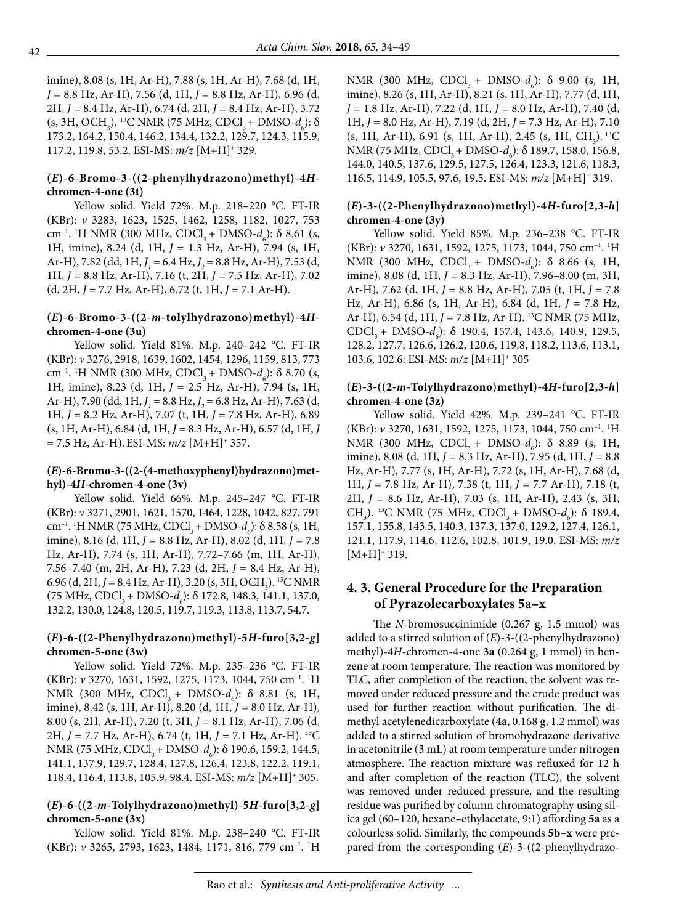imine), 8.08 (s, 1H, Ar-H), 7.88 (s, 1H, Ar-H), 7.68 (d, 1H, *J* = 8.8 Hz, Ar-H), 7.56 (d, 1H, *J* = 8.8 Hz, Ar-H), 6.96 (d, 2H, *J* = 8.4 Hz, Ar-H), 6.74 (d, 2H, *J* = 8.4 Hz, Ar-H), 3.72 (s, 3H, OCH<sub>3</sub>). <sup>13</sup>C NMR (75 MHz, CDCl<sub>3</sub> + DMSO*-d<sub>6</sub>*): δ 173.2, 164.2, 150.4, 146.2, 134.4, 132.2, 129.7, 124.3, 115.9, 117.2, 119.8, 53.2. ESI-MS: *m/z* [M+H]+ 329.

#### **(***E***)-6-Bromo-3-((2-phenylhydrazono)methyl)-4***H***chromen-4-one (3t)**

Yellow solid. Yield 72%. M.p. 218–220 °C. FT-IR (KBr): *v* 3283, 1623, 1525, 1462, 1258, 1182, 1027, 753 cm<sup>-1</sup>. <sup>1</sup>H NMR (300 MHz, CDCl<sub>3</sub> + DMSO-*d<sub>6</sub>*): δ 8.61 (s, 1H, imine), 8.24 (d, 1H, *J* = 1.3 Hz, Ar-H), 7.94 (s, 1H, Ar-H), 7.82 (dd, 1H, *J <sup>1</sup>* = 6.4 Hz, *J 2* = 8.8 Hz, Ar-H), 7.53 (d, 1H, *J* = 8.8 Hz, Ar-H), 7.16 (t, 2H, *J* = 7.5 Hz, Ar-H), 7.02 (d, 2H, *J* = 7.7 Hz, Ar-H), 6.72 (t, 1H, *J* = 7.1 Ar-H).

#### **(***E***)-6-Bromo-3-((2-***m***-tolylhydrazono)methyl)-4***H***chromen-4-one (3u)**

Yellow solid. Yield 81%. M.p. 240–242 °C. FT-IR (KBr): *v* 3276, 2918, 1639, 1602, 1454, 1296, 1159, 813, 773 cm<sup>-1</sup>. <sup>1</sup>H NMR (300 MHz, CDCl<sub>3</sub> + DMSO-*d<sub>6</sub>*): δ 8.70 (s, 1H, imine), 8.23 (d, 1H, *J =* 2.5 Hz, Ar-H), 7.94 (s, 1H, Ar-H), 7.90 (dd, 1H, *J <sup>1</sup>* = 8.8 Hz, *J 2* = 6.8 Hz, Ar-H), 7.63 (d, 1H, *J* = 8.2 Hz, Ar-H), 7.07 (t, 1H, *J* = 7.8 Hz, Ar-H), 6.89 (s, 1H, Ar-H), 6.84 (d, 1H, *J* = 8.3 Hz, Ar-H), 6.57 (d, 1H, *J*   $= 7.5$  Hz, Ar-H). ESI-MS:  $m/z$  [M+H]<sup>+</sup> 357.

#### **(***E***)-6-Bromo-3-((2-(4-methoxyphenyl)hydrazono)methyl)-4***H***-chromen-4-one (3v)**

Yellow solid. Yield 66%. M.p. 245–247 °C. FT-IR (KBr): *v* 3271, 2901, 1621, 1570, 1464, 1228, 1042, 827, 791 cm<sup>-1</sup>. <sup>1</sup>H NMR (75 MHz, CDCl<sub>3</sub> + DMSO-*d<sub>6</sub>*): δ 8.58 (s, 1H, imine), 8.16 (d, 1H, *J* = 8.8 Hz, Ar-H), 8.02 (d, 1H, *J* = 7.8 Hz, Ar-H), 7.74 (s, 1H, Ar-H), 7.72–7.66 (m, 1H, Ar-H), 7.56–7.40 (m, 2H, Ar-H), 7.23 (d, 2H, *J* = 8.4 Hz, Ar-H), 6.96 (d, 2H, *J* = 8.4 Hz, Ar-H), 3.20 (s, 3H, OCH<sub>3</sub>). <sup>13</sup>C NMR (75 MHz, CDCl<sub>3</sub> + DMSO-*d<sub>6</sub>*): δ 172.8, 148.3, 141.1, 137.0, 132.2, 130.0, 124.8, 120.5, 119.7, 119.3, 113.8, 113.7, 54.7.

# **(***E***)-6-((2-Phenylhydrazono)methyl)-5***H***-furo[3,2-***g***] chromen-5-one (3w)**

Yellow solid. Yield 72%. M.p. 235–236 °C. FT-IR (KBr): *v* 3270, 1631, 1592, 1275, 1173, 1044, 750 cm–1. 1 H NMR (300 MHz, CDCl<sub>3</sub> + DMSO-*d<sub>6</sub>*): δ 8.81 (s, 1H, imine), 8.42 (s, 1H, Ar-H), 8.20 (d, 1H, *J* = 8.0 Hz, Ar-H), 8.00 (s, 2H, Ar-H), 7.20 (t, 3H, *J* = 8.1 Hz, Ar-H), 7.06 (d, 2H, *J* = 7.7 Hz, Ar-H), 6.74 (t, 1H, *J* = 7.1 Hz, Ar-H). 13C NMR (75 MHz, CDCl<sub>3</sub> + DMSO*-d<sub>6</sub>*): δ 190.6, 159.2, 144.5, 141.1, 137.9, 129.7, 128.4, 127.8, 126.4, 123.8, 122.2, 119.1, 118.4, 116.4, 113.8, 105.9, 98.4. ESI-MS: *m/z* [M+H]+ 305.

# **(***E***)-6-((2-***m***-Tolylhydrazono)methyl)-5***H***-furo[3,2-***g***] chromen-5-one (3x)**

Yellow solid. Yield 81%. M.p. 238–240 °C. FT-IR (KBr): *v* 3265, 2793, 1623, 1484, 1171, 816, 779 cm<sup>-1</sup>. <sup>1</sup>H

NMR (300 MHz, CDCl<sub>3</sub> + DMSO- $d_6$ ):  $\delta$  9.00 (s, 1H, imine), 8.26 (s, 1H, Ar-H), 8.21 (s, 1H, Ar-H), 7.77 (d, 1H, *J* = 1.8 Hz, Ar-H), 7.22 (d, 1H, *J* = 8.0 Hz, Ar-H), 7.40 (d, 1H, *J* = 8.0 Hz, Ar-H), 7.19 (d, 2H, *J* = 7.3 Hz, Ar-H), 7.10  $(s, 1H, Ar-H)$ , 6.91  $(s, 1H, Ar-H)$ , 2.45  $(s, 1H, CH<sub>3</sub>)$ . <sup>13</sup>C NMR (75 MHz, CDCl<sub>3</sub> + DMSO-*d<sub>6</sub>*): δ 189.7, 158.0, 156.8, 144.0, 140.5, 137.6, 129.5, 127.5, 126.4, 123.3, 121.6, 118.3, 116.5, 114.9, 105.5, 97.6, 19.5. ESI-MS: *m/z* [M+H]+ 319.

# **(***E***)-3-((2-Phenylhydrazono)methyl)-4***H***-furo[2,3-***h***] chromen-4-one (3y)**

Yellow solid. Yield 85%. M.p. 236–238 °C. FT-IR (KBr): *v* 3270, 1631, 1592, 1275, 1173, 1044, 750 cm–1. 1 H NMR (300 MHz, CDCl<sub>3</sub> + DMSO- $d_6$ ): δ 8.66 (s, 1H, imine), 8.08 (d, 1H, *J* = 8.3 Hz, Ar-H), 7.96–8.00 (m, 3H, Ar-H), 7.62 (d, 1H, *J* = 8.8 Hz, Ar-H), 7.05 (t, 1H, *J* = 7.8 Hz, Ar-H), 6.86 (s, 1H, Ar-H), 6.84 (d, 1H, *J* = 7.8 Hz, Ar-H), 6.54 (d, 1H, J = 7.8 Hz, Ar-H). <sup>13</sup>C NMR (75 MHz, CDCl<sub>3</sub> + DMSO-*d<sub>6</sub>*): δ 190.4, 157.4, 143.6, 140.9, 129.5, 128.2, 127.7, 126.6, 126.2, 120.6, 119.8, 118.2, 113.6, 113.1, 103.6, 102.6: ESI-MS: *m/z* [M+H]+ 305

#### **(***E***)-3-((2-***m***-Tolylhydrazono)methyl)-4***H***-furo[2,3-***h***] chromen-4-one (3z)**

Yellow solid. Yield 42%. M.p. 239–241 °C. FT-IR (KBr): *v* 3270, 1631, 1592, 1275, 1173, 1044, 750 cm–1. 1 H NMR (300 MHz, CDCl<sub>3</sub> + DMSO- $d_6$ ): δ 8.89 (s, 1H, imine), 8.08 (d, 1H, *J* = 8.3 Hz, Ar-H), 7.95 (d, 1H, *J* = 8.8 Hz, Ar-H), 7.77 (s, 1H, Ar-H), 7.72 (s, 1H, Ar-H), 7.68 (d, 1H, *J* = 7.8 Hz, Ar-H), 7.38 (t, 1H, *J* = 7.7 Ar-H), 7.18 (t, 2H, *J* = 8.6 Hz, Ar-H), 7.03 (s, 1H, Ar-H), 2.43 (s, 3H, CH<sub>3</sub>). <sup>13</sup>C NMR (75 MHz, CDCl<sub>3</sub> + DMSO-*d<sub>6</sub>*): δ 189.4, 157.1, 155.8, 143.5, 140.3, 137.3, 137.0, 129.2, 127.4, 126.1, 121.1, 117.9, 114.6, 112.6, 102.8, 101.9, 19.0. ESI-MS: *m/z*  $[M+H]^+$  319.

# **4. 3. General Procedure for the Preparation of Pyrazolecarboxylates 5a–x**

The *N*-bromosuccinimide (0.267 g, 1.5 mmol) was added to a stirred solution of (*E*)-3-((2-phenylhydrazono) methyl)-4*H*-chromen-4-one **3a** (0.264 g, 1 mmol) in benzene at room temperature. The reaction was monitored by TLC, after completion of the reaction, the solvent was removed under reduced pressure and the crude product was used for further reaction without purification. The dimethyl acetylenedicarboxylate (**4a**, 0.168 g, 1.2 mmol) was added to a stirred solution of bromohydrazone derivative in acetonitrile (3 mL) at room temperature under nitrogen atmosphere. The reaction mixture was refluxed for 12 h and after completion of the reaction (TLC), the solvent was removed under reduced pressure, and the resulting residue was purified by column chromatography using silica gel (60–120, hexane–ethylacetate, 9:1) affording **5a** as a colourless solid. Similarly, the compounds **5b**–**x** were prepared from the corresponding (*E*)-3-((2-phenylhydrazo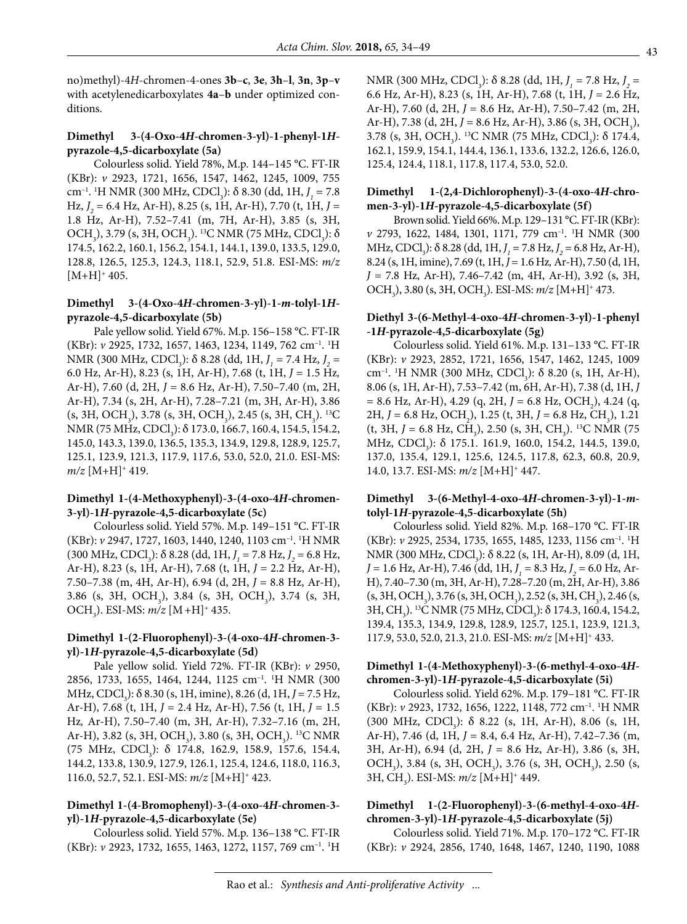no)methyl)-4*H*-chromen-4-ones **3b**–**c**, **3e**, **3h**–**l**, **3n**, **3p**–**v** with acetylenedicarboxylates **4a**–**b** under optimized conditions.

### **Dimethyl 3-(4-Oxo-4***H***-chromen-3-yl)-1-phenyl-1***H***pyrazole-4,5-dicarboxylate (5a)**

Colourless solid. Yield 78%, M.p. 144–145 °C. FT-IR (KBr): *v* 2923, 1721, 1656, 1547, 1462, 1245, 1009, 755 cm<sup>-1</sup>. <sup>1</sup>H NMR (300 MHz, CDCl<sub>3</sub>): δ 8.30 (dd, 1H, *J<sub>1</sub>* = 7.8 Hz, *J 2* = 6.4 Hz, Ar-H), 8.25 (s, 1H, Ar-H), 7.70 (t, 1H, *J* = 1.8 Hz, Ar-H), 7.52–7.41 (m, 7H, Ar-H), 3.85 (s, 3H, OCH<sub>3</sub>), 3.79 (s, 3H, OCH<sub>3</sub>). <sup>13</sup>C NMR (75 MHz, CDCl<sub>3</sub>): δ 174.5, 162.2, 160.1, 156.2, 154.1, 144.1, 139.0, 133.5, 129.0, 128.8, 126.5, 125.3, 124.3, 118.1, 52.9, 51.8. ESI-MS: *m/z*  $[M+H]^+$  405.

#### **Dimethyl 3-(4-Oxo-4***H***-chromen-3-yl)-1-***m***-tolyl-1***H***pyrazole-4,5-dicarboxylate (5b)**

Pale yellow solid. Yield 67%. M.p. 156–158 °C. FT-IR (KBr): *v* 2925, 1732, 1657, 1463, 1234, 1149, 762 cm–1. 1 H NMR (300 MHz, CDCl<sub>3</sub>): δ 8.28 (dd, 1H, *J*<sub>1</sub> = 7.4 Hz, *J*<sub>2</sub> = 6.0 Hz, Ar-H), 8.23 (s, 1H, Ar-H), 7.68 (t, 1H, *J* = 1.5 Hz*,* Ar-H), 7.60 (d, 2H, *J* = 8.6 Hz, Ar-H), 7.50–7.40 (m, 2H, Ar-H), 7.34 (s, 2H, Ar-H), 7.28–7.21 (m, 3H, Ar-H), 3.86  $(s, 3H, OCH<sub>3</sub>)$ , 3.78  $(s, 3H, OCH<sub>3</sub>)$ , 2.45  $(s, 3H, CH<sub>3</sub>)$ . <sup>13</sup>C NMR (75 MHz, CDCl<sub>3</sub>): δ 173.0, 166.7, 160.4, 154.5, 154.2, 145.0, 143.3, 139.0, 136.5, 135.3, 134.9, 129.8, 128.9, 125.7, 125.1, 123.9, 121.3, 117.9, 117.6, 53.0, 52.0, 21.0. ESI-MS:  $m/z$  [M+H]<sup>+</sup> 419.

#### **Dimethyl 1-(4-Methoxyphenyl)-3-(4-oxo-4***H***-chromen-3-yl)-1***H***-pyrazole-4,5-dicarboxylate (5c)**

Colourless solid. Yield 57%. M.p. 149–151 °C. FT-IR (KBr): *v* 2947, 1727, 1603, 1440, 1240, 1103 cm–1. 1 H NMR  $(300 \text{ MHz}, \text{CDCl}_3)$ :  $\delta$  8.28 (dd, 1H,  $J_1 = 7.8 \text{ Hz}, J_2 = 6.8 \text{ Hz},$ Ar-H), 8.23 (s, 1H, Ar-H), 7.68 (t, 1H, *J* = 2.2 Hz, Ar-H), 7.50–7.38 (m, 4H, Ar-H), 6.94 (d, 2H, *J* = 8.8 Hz, Ar-H), 3.86 (s, 3H, OCH<sub>3</sub>), 3.84 (s, 3H, OCH<sub>3</sub>), 3.74 (s, 3H, OCH3 ). ESI-MS: *m/z* [M+H]+ 435.

#### **Dimethyl 1-(2-Fluorophenyl)-3-(4-oxo-4***H***-chromen-3 yl)-1***H***-pyrazole-4,5-dicarboxylate (5d)**

Pale yellow solid. Yield 72%. FT-IR (KBr): *v* 2950, 2856, 1733, 1655, 1464, 1244, 1125 cm–1. 1 H NMR (300 MHz, CDCl<sub>3</sub>): δ 8.30 (s, 1H, imine), 8.26 (d, 1H, *J* = 7.5 Hz, Ar-H), 7.68 (t, 1H, *J* = 2.4 Hz, Ar-H), 7.56 (t, 1H, *J* = 1.5 Hz*,* Ar-H), 7.50–7.40 (m, 3H, Ar-H), 7.32–7.16 (m, 2H, Ar-H), 3.82 (s, 3H, OCH<sub>3</sub>), 3.80 (s, 3H, OCH<sub>3</sub>). <sup>13</sup>C NMR (75 MHz, CDCl<sub>3</sub>):  $\delta$  174.8, 162.9, 158.9, 157.6, 154.4, 144.2, 133.8, 130.9, 127.9, 126.1, 125.4, 124.6, 118.0, 116.3, 116.0, 52.7, 52.1. ESI-MS: *m/z* [M+H]+ 423.

# **Dimethyl 1-(4-Bromophenyl)-3-(4-oxo-4***H***-chromen-3 yl)-1***H***-pyrazole-4,5-dicarboxylate (5e)**

Colourless solid. Yield 57%. M.p. 136–138 °C. FT-IR (KBr): *v* 2923, 1732, 1655, 1463, 1272, 1157, 769 cm–1. 1 H

NMR (300 MHz, CDCl<sub>3</sub>): δ 8.28 (dd, 1H, *J<sub>1</sub>* = 7.8 Hz, *J<sub>2</sub>* = 6.6 Hz, Ar-H), 8.23 (s, 1H, Ar-H), 7.68 (t, 1H, *J* = 2.6 Hz, Ar-H), 7.60 (d, 2H, *J* = 8.6 Hz, Ar-H), 7.50–7.42 (m, 2H, Ar-H), 7.38 (d, 2H, *J* = 8.6 Hz, Ar-H), 3.86 (s, 3H, OCH<sub>3</sub>), 3.78 (s, 3H, OCH<sub>3</sub>). <sup>13</sup>C NMR (75 MHz, CDCl<sub>3</sub>):  $\delta$  174.4, 162.1, 159.9, 154.1, 144.4, 136.1, 133.6, 132.2, 126.6, 126.0, 125.4, 124.4, 118.1, 117.8, 117.4, 53.0, 52.0.

### **Dimethyl 1-(2,4-Dichlorophenyl)-3-(4-oxo-4***H***-chromen-3-yl)-1***H***-pyrazole-4,5-dicarboxylate (5f)**

Brown solid. Yield 66%. M.p. 129–131 °C. FT-IR (KBr): *v* 2793, 1622, 1484, 1301, 1171, 779 cm–1. 1 H NMR (300 MHz, CDCl<sub>3</sub>):  $\delta$  8.28 (dd, 1H, *J*<sub>1</sub> = 7.8 Hz, *J*<sub>2</sub> = 6.8 Hz, Ar-H), 8.24 (s, 1H, imine), 7.69 (t, 1H, *J* = 1.6 Hz*,* Ar-H), 7.50 (d, 1H, *J* = 7.8 Hz, Ar-H), 7.46–7.42 (m, 4H, Ar-H), 3.92 (s, 3H, OCH<sub>3</sub>), 3.80 (s, 3H, OCH<sub>3</sub>). ESI-MS: *m/z* [M+H]<sup>+</sup> 473.

#### **Diethyl 3-(6-Methyl-4-oxo-4***H***-chromen-3-yl)-1-phenyl -1***H***-pyrazole-4,5-dicarboxylate (5g)**

Colourless solid. Yield 61%. M.p. 131–133 °C. FT-IR (KBr): *v* 2923, 2852, 1721, 1656, 1547, 1462, 1245, 1009 cm<sup>-1</sup>. <sup>1</sup>H NMR (300 MHz, CDCl<sub>3</sub>): δ 8.20 (s, 1H, Ar-H), 8.06 (s, 1H, Ar-H), 7.53–7.42 (m, 6H, Ar-H), 7.38 (d, 1H, *J*   $= 8.6$  Hz, Ar-H), 4.29 (q, 2H,  $J = 6.8$  Hz, OCH<sub>2</sub>), 4.24 (q, 2H, *J* = 6.8 Hz, OCH<sub>2</sub>), 1.25 (t, 3H, *J* = 6.8 Hz, CH<sub>3</sub>), 1.21  $(t, 3H, J = 6.8 \text{ Hz}, \text{CH}_3)$ , 2.50 (s, 3H, CH<sub>3</sub>). <sup>13</sup>C NMR (75) MHz, CDCl<sub>3</sub>): δ 175.1. 161.9, 160.0, 154.2, 144.5, 139.0, 137.0, 135.4, 129.1, 125.6, 124.5, 117.8, 62.3, 60.8, 20.9, 14.0, 13.7. ESI-MS: *m/z* [M+H]+ 447.

#### **Dimethyl 3-(6-Methyl-4-oxo-4***H***-chromen-3-yl)-1-***m***tolyl-1***H***-pyrazole-4,5-dicarboxylate (5h)**

Colourless solid. Yield 82%. M.p. 168–170 °C. FT-IR (KBr): *v* 2925, 2534, 1735, 1655, 1485, 1233, 1156 cm–1. 1 H NMR (300 MHz, CDCl<sub>3</sub>): δ 8.22 (s, 1H, Ar-H), 8.09 (d, 1H, *J* = 1.6 Hz, Ar-H), 7.46 (dd, 1H, *J <sup>1</sup>* = 8.3 Hz, *J 2* = 6.0 Hz, Ar-H), 7.40–7.30 (m, 3H, Ar-H), 7.28–7.20 (m, 2H, Ar-H), 3.86  $(s, 3H, OCH<sub>3</sub>)$ , 3.76  $(s, 3H, OCH<sub>3</sub>)$ , 2.52  $(s, 3H, CH<sub>3</sub>)$ , 2.46  $(s,$ 3H, CH<sub>3</sub>). <sup>13</sup>C NMR (75 MHz, CDCl<sub>3</sub>): δ 174.3, 160.4, 154.2, 139.4, 135.3, 134.9, 129.8, 128.9, 125.7, 125.1, 123.9, 121.3, 117.9, 53.0, 52.0, 21.3, 21.0. ESI-MS: *m/z* [M+H]+ 433.

#### **Dimethyl 1-(4-Methoxyphenyl)-3-(6-methyl-4-oxo-4***H***chromen-3-yl)-1***H***-pyrazole-4,5-dicarboxylate (5i)**

Colourless solid. Yield 62%. M.p. 179–181 °C. FT-IR (KBr): *v* 2923, 1732, 1656, 1222, 1148, 772 cm–1. 1 H NMR  $(300 \text{ MHz}, \text{CDCl}_3)$ : δ 8.22 (s, 1H, Ar-H), 8.06 (s, 1H, Ar-H), 7.46 (d, 1H, *J* = 8.4, 6.4 Hz, Ar-H), 7.42–7.36 (m, 3H, Ar-H), 6.94 (d, 2H, *J* = 8.6 Hz, Ar-H), 3.86 (s, 3H, OCH<sub>3</sub>), 3.84 (s, 3H, OCH<sub>3</sub>), 3.76 (s, 3H, OCH<sub>3</sub>), 2.50 (s, 3H, CH3 ). ESI-MS: *m/z* [M+H]+ 449.

# **Dimethyl 1-(2-Fluorophenyl)-3-(6-methyl-4-oxo-4***H***chromen-3-yl)-1***H***-pyrazole-4,5-dicarboxylate (5j)**

Colourless solid. Yield 71%. M.p. 170–172 °C. FT-IR (KBr): *v* 2924, 2856, 1740, 1648, 1467, 1240, 1190, 1088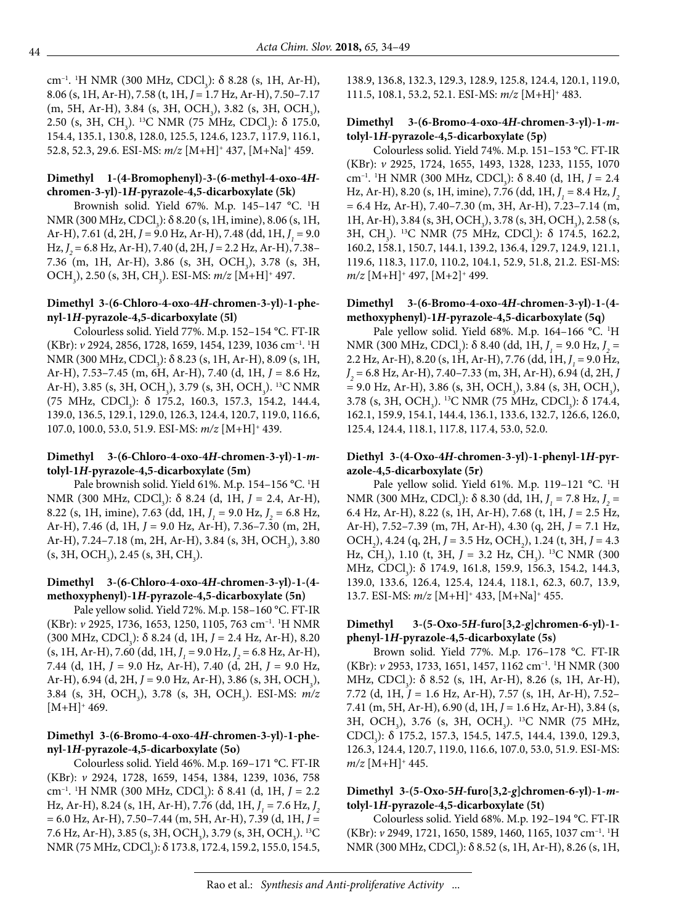cm<sup>-1</sup>. <sup>1</sup>H NMR (300 MHz, CDCl<sub>3</sub>): δ 8.28 (s, 1H, Ar-H), 8.06 (s, 1H, Ar-H), 7.58 (t, 1H, *J* = 1.7 Hz, Ar-H), 7.50–7.17  $(m, 5H, Ar-H), 3.84$  (s, 3H, OCH<sub>3</sub>), 3.82 (s, 3H, OCH<sub>3</sub>), 2.50 (s, 3H, CH<sub>3</sub>). <sup>13</sup>C NMR (75 MHz, CDCl<sub>3</sub>): δ 175.0, 154.4, 135.1, 130.8, 128.0, 125.5, 124.6, 123.7, 117.9, 116.1, 52.8, 52.3, 29.6. ESI-MS: *m/z* [M+H]+ 437, [M+Na]+ 459.

#### **Dimethyl 1-(4-Bromophenyl)-3-(6-methyl-4-oxo-4***H***chromen-3-yl)-1***H***-pyrazole-4,5-dicarboxylate (5k)**

Brownish solid. Yield 67%. M.p. 145–147 °C. 1 H NMR (300 MHz, CDCl<sub>3</sub>):  $\delta$  8.20 (s, 1H, imine), 8.06 (s, 1H, Ar-H), 7.61 (d, 2H, *J* = 9.0 Hz, Ar-H), 7.48 (dd, 1H, *J <sup>1</sup>* = 9.0 Hz, *J 2* = 6.8 Hz, Ar-H), 7.40 (d, 2H, *J* = 2.2 Hz, Ar-H), 7.38– 7.36 (m, 1H, Ar-H), 3.86 (s, 3H, OCH<sub>3</sub>), 3.78 (s, 3H, OCH<sub>3</sub>), 2.50 (s, 3H, CH<sub>3</sub>). ESI-MS: *m/z* [M+H]<sup>+</sup> 497.

### **Dimethyl 3-(6-Chloro-4-oxo-4***H***-chromen-3-yl)-1-phenyl-1***H***-pyrazole-4,5-dicarboxylate (5l)**

Colourless solid. Yield 77%. M.p. 152–154 °C. FT-IR (KBr): *v* 2924, 2856, 1728, 1659, 1454, 1239, 1036 cm–1. 1 H NMR (300 MHz, CDCl<sub>3</sub>):  $\delta$  8.23 (s, 1H, Ar-H), 8.09 (s, 1H, Ar-H), 7.53–7.45 (m, 6H, Ar-H), 7.40 (d, 1H, *J* = 8.6 Hz, Ar-H), 3.85 (s, 3H, OCH<sub>3</sub>), 3.79 (s, 3H, OCH<sub>3</sub>). <sup>13</sup>C NMR (75 MHz, CDCl<sub>3</sub>):  $\delta$  175.2, 160.3, 157.3, 154.2, 144.4, 139.0, 136.5, 129.1, 129.0, 126.3, 124.4, 120.7, 119.0, 116.6, 107.0, 100.0, 53.0, 51.9. ESI-MS: *m/z* [M+H]+ 439.

# **Dimethyl 3-(6-Chloro-4-oxo-4***H***-chromen-3-yl)-1-***m***tolyl-1***H***-pyrazole-4,5-dicarboxylate (5m)**

Pale brownish solid. Yield 61%. M.p. 154–156 °C. 1 H NMR (300 MHz, CDCl<sub>3</sub>): δ 8.24 (d, 1H, *J* = 2.4, Ar-H), 8.22 (s, 1H, imine), 7.63 (dd, 1H,  $J_1 = 9.0$  Hz,  $J_2 = 6.8$  Hz, Ar-H), 7.46 (d, 1H, *J* = 9.0 Hz, Ar-H), 7.36–7.30 (m, 2H, Ar-H), 7.24–7.18 (m, 2H, Ar-H), 3.84 (s, 3H, OCH<sub>3</sub>), 3.80  $(s, 3H, OCH<sub>3</sub>)$ , 2.45  $(s, 3H, CH<sub>3</sub>)$ .

# **Dimethyl 3-(6-Chloro-4-oxo-4***H***-chromen-3-yl)-1-(4 methoxyphenyl)-1***H***-pyrazole-4,5-dicarboxylate (5n)**

Pale yellow solid. Yield 72%. M.p. 158–160 °C. FT-IR (KBr): *v* 2925, 1736, 1653, 1250, 1105, 763 cm–1. 1 H NMR (300 MHz, CDCl<sub>3</sub>): δ 8.24 (d, 1H, *J* = 2.4 Hz, Ar-H), 8.20 (s, 1H, Ar-H), 7.60 (dd, 1H,  $J_1 = 9.0$  Hz,  $J_2 = 6.8$  Hz, Ar-H), 7.44 (d, 1H, *J* = 9.0 Hz, Ar-H), 7.40 (d, 2H, *J* = 9.0 Hz, Ar-H), 6.94 (d, 2H, J = 9.0 Hz, Ar-H), 3.86 (s, 3H, OCH<sub>3</sub>), 3.84 (s, 3H, OCH3 ), 3.78 (s, 3H, OCH3 ). ESI-MS: *m/z*  $[M+H]^+$  469.

# **Dimethyl 3-(6-Bromo-4-oxo-4***H***-chromen-3-yl)-1-phenyl-1***H***-pyrazole-4,5-dicarboxylate (5o)**

Colourless solid. Yield 46%. M.p. 169–171 °C. FT-IR (KBr): *v* 2924, 1728, 1659, 1454, 1384, 1239, 1036, 758 cm<sup>-1</sup>. <sup>1</sup>H NMR (300 MHz, CDCl<sub>3</sub>): δ 8.41 (d, 1H, *J* = 2.2 Hz, Ar-H), 8.24 (s, 1H, Ar-H), 7.76 (dd, 1H, *J<sub>1</sub>* = 7.6 Hz, *J<sub>2</sub>* = 6.0 Hz, Ar-H), 7.50–7.44 (m, 5H, Ar-H), 7.39 (d, 1H, *J* = 7.6 Hz, Ar-H), 3.85 (s, 3H, OCH<sub>3</sub>), 3.79 (s, 3H, OCH<sub>3</sub>). <sup>13</sup>C NMR (75 MHz, CDCl<sub>3</sub>): δ 173.8, 172.4, 159.2, 155.0, 154.5, 138.9, 136.8, 132.3, 129.3, 128.9, 125.8, 124.4, 120.1, 119.0, 111.5, 108.1, 53.2, 52.1. ESI-MS: *m/z* [M+H]+ 483.

### **Dimethyl 3-(6-Bromo-4-oxo-4***H***-chromen-3-yl)-1-***m***tolyl-1***H***-pyrazole-4,5-dicarboxylate (5p)**

Colourless solid. Yield 74%. M.p. 151–153 °C. FT-IR (KBr): *v* 2925, 1724, 1655, 1493, 1328, 1233, 1155, 1070 cm<sup>-1</sup>. <sup>1</sup>H NMR (300 MHz, CDCl<sub>3</sub>): δ 8.40 (d, 1H, *J* = 2.4 Hz, Ar-H), 8.20 (s, 1H, imine), 7.76 (dd, 1H, *J<sub>1</sub>* = 8.4 Hz, *J<sub>2</sub>* = 6.4 Hz, Ar-H), 7.40–7.30 (m, 3H, Ar-H), 7.23–7.14 (m, 1H, Ar-H), 3.84 (s, 3H, OCH<sub>3</sub>), 3.78 (s, 3H, OCH<sub>3</sub>), 2.58 (s, 3H, CH<sub>3</sub>). <sup>13</sup>C NMR (75 MHz, CDCl<sub>3</sub>): δ 174.5, 162.2, 160.2, 158.1, 150.7, 144.1, 139.2, 136.4, 129.7, 124.9, 121.1, 119.6, 118.3, 117.0, 110.2, 104.1, 52.9, 51.8, 21.2. ESI-MS: *m/z* [M+H]+ 497, [M+2]+ 499.

#### **Dimethyl 3-(6-Bromo-4-oxo-4***H***-chromen-3-yl)-1-(4 methoxyphenyl)-1***H***-pyrazole-4,5-dicarboxylate (5q)**

Pale yellow solid. Yield 68%. M.p. 164-166 °C. <sup>1</sup>H NMR (300 MHz, CDCl<sub>3</sub>): δ 8.40 (dd, 1H, *J<sub>1</sub>* = 9.0 Hz, *J<sub>2</sub>* = 2.2 Hz, Ar-H), 8.20 (s, 1H, Ar-H), 7.76 (dd, 1H, *J<sub>1</sub>* = 9.0 Hz, *J 2* = 6.8 Hz, Ar-H), 7.40–7.33 (m, 3H, Ar-H), 6.94 (d, 2H, *J*   $= 9.0$  Hz, Ar-H), 3.86 (s, 3H, OCH<sub>3</sub>), 3.84 (s, 3H, OCH<sub>3</sub>), 3.78 (s, 3H, OCH<sub>3</sub>). <sup>13</sup>C NMR (75 MHz, CDCl<sub>3</sub>):  $\delta$  174.4, 162.1, 159.9, 154.1, 144.4, 136.1, 133.6, 132.7, 126.6, 126.0, 125.4, 124.4, 118.1, 117.8, 117.4, 53.0, 52.0.

# **Diethyl 3-(4-Oxo-4***H***-chromen-3-yl)-1-phenyl-1***H***-pyrazole-4,5-dicarboxylate (5r)**

Pale yellow solid. Yield 61%. M.p. 119-121 °C. <sup>1</sup>H NMR (300 MHz, CDCl<sub>3</sub>): δ 8.30 (dd, 1H, *J*<sub>1</sub> = 7.8 Hz, *J*<sub>2</sub> = 6.4 Hz, Ar-H), 8.22 (s, 1H, Ar-H), 7.68 (t, 1H, *J* = 2.5 Hz, Ar-H), 7.52–7.39 (m, 7H, Ar-H), 4.30 (q, 2H, *J* = 7.1 Hz, OCH<sub>2</sub>), 4.24 (q, 2H, *J* = 3.5 Hz, OCH<sub>2</sub>), 1.24 (t, 3H, *J* = 4.3 Hz, CH<sub>3</sub>), 1.10 (t, 3H, *J* = 3.2 Hz, CH<sub>3</sub>). <sup>13</sup>C NMR (300 MHz, CDCl<sub>3</sub>): δ 174.9, 161.8, 159.9, 156.3, 154.2, 144.3, 139.0, 133.6, 126.4, 125.4, 124.4, 118.1, 62.3, 60.7, 13.9, 13.7. ESI-MS: *m/z* [M+H]+ 433, [M+Na]+ 455.

# **Dimethyl 3-(5-Oxo-5***H***-furo[3,2-***g***]chromen-6-yl)-1 phenyl-1***H***-pyrazole-4,5-dicarboxylate (5s)**

Brown solid. Yield 77%. M.p. 176–178 °C. FT-IR (KBr): *v* 2953, 1733, 1651, 1457, 1162 cm–1. 1 H NMR (300 MHz, CDCl<sub>3</sub>):  $\delta$  8.52 (s, 1H, Ar-H), 8.26 (s, 1H, Ar-H), 7.72 (d, 1H, *J* = 1.6 Hz, Ar-H), 7.57 (s, 1H, Ar-H), 7.52– 7.41 (m, 5H, Ar-H), 6.90 (d, 1H, *J* = 1.6 Hz, Ar-H), 3.84 (s, 3H, OCH<sub>3</sub>), 3.76 (s, 3H, OCH<sub>3</sub>). <sup>13</sup>C NMR (75 MHz, CDCl<sub>3</sub>): δ 175.2, 157.3, 154.5, 147.5, 144.4, 139.0, 129.3, 126.3, 124.4, 120.7, 119.0, 116.6, 107.0, 53.0, 51.9. ESI-MS:  $m/z$  [M+H]<sup>+</sup> 445.

# **Dimethyl 3-(5-Oxo-5***H***-furo[3,2-***g***]chromen-6-yl)-1-***m***tolyl-1***H***-pyrazole-4,5-dicarboxylate (5t)**

Colourless solid. Yield 68%. M.p. 192–194 °C. FT-IR (KBr): *v* 2949, 1721, 1650, 1589, 1460, 1165, 1037 cm–1. 1 H NMR (300 MHz, CDCl<sub>3</sub>): δ 8.52 (s, 1H, Ar-H), 8.26 (s, 1H,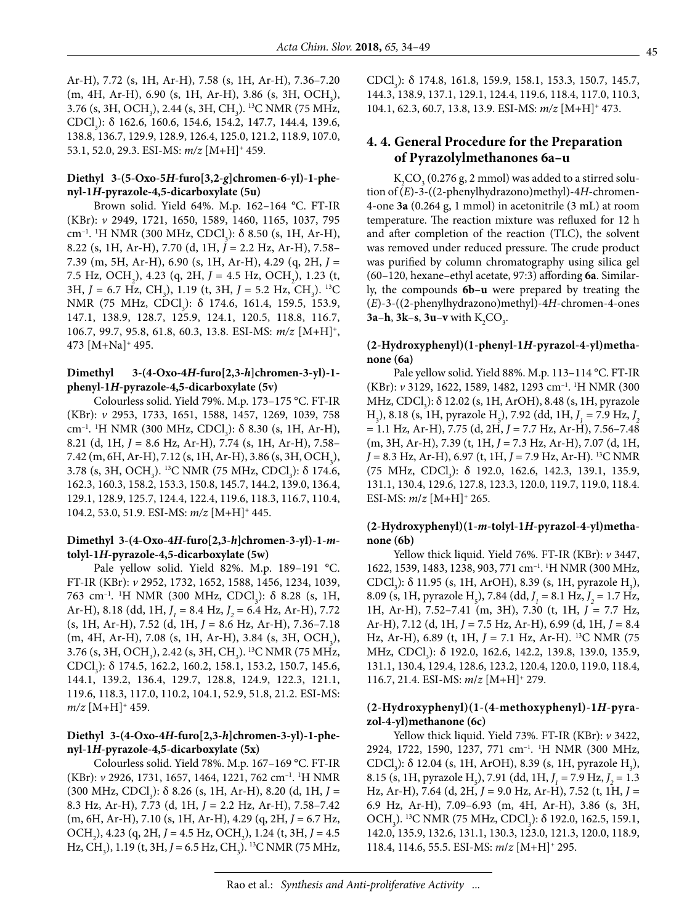Ar-H), 7.72 (s, 1H, Ar-H), 7.58 (s, 1H, Ar-H), 7.36–7.20  $(m, 4H, Ar-H), 6.90$  (s, 1H, Ar-H), 3.86 (s, 3H, OCH<sub>3</sub>), 3.76 (s, 3H, OCH<sub>3</sub>), 2.44 (s, 3H, CH<sub>3</sub>). <sup>13</sup>C NMR (75 MHz, CDCl<sub>3</sub>): δ 162.6, 160.6, 154.6, 154.2, 147.7, 144.4, 139.6, 138.8, 136.7, 129.9, 128.9, 126.4, 125.0, 121.2, 118.9, 107.0, 53.1, 52.0, 29.3. ESI-MS: *m/z* [M+H]+ 459.

#### **Diethyl 3-(5-Oxo-5***H***-furo[3,2-***g***]chromen-6-yl)-1-phenyl-1***H***-pyrazole-4,5-dicarboxylate (5u)**

Brown solid. Yield 64%. M.p. 162–164 °C. FT-IR (KBr): *v* 2949, 1721, 1650, 1589, 1460, 1165, 1037, 795 cm<sup>-1</sup>. <sup>1</sup>H NMR (300 MHz, CDCl<sub>3</sub>): δ 8.50 (s, 1H, Ar-H), 8.22 (s, 1H, Ar-H), 7.70 (d, 1H, *J* = 2.2 Hz, Ar-H), 7.58– 7.39 (m, 5H, Ar-H), 6.90 (s, 1H, Ar-H), 4.29 (q, 2H, *J* = 7.5 Hz, OCH<sub>2</sub>), 4.23 (q, 2H, *J* = 4.5 Hz, OCH<sub>2</sub>), 1.23 (t, 3H, *J* = 6.7 Hz, CH<sub>3</sub>), 1.19 (t, 3H, *J* = 5.2 Hz, CH<sub>3</sub>). <sup>13</sup>C NMR (75 MHz, CDCl<sub>3</sub>): δ 174.6, 161.4, 159.5, 153.9, 147.1, 138.9, 128.7, 125.9, 124.1, 120.5, 118.8, 116.7, 106.7, 99.7, 95.8, 61.8, 60.3, 13.8. ESI-MS: *m/z* [M+H]+, 473 [M+Na]+ 495.

#### **Dimethyl 3-(4-Oxo-4***H***-furo[2,3-***h***]chromen-3-yl)-1 phenyl-1***H***-pyrazole-4,5-dicarboxylate (5v)**

Colourless solid. Yield 79%. M.p. 173–175 °C. FT-IR (KBr): *v* 2953, 1733, 1651, 1588, 1457, 1269, 1039, 758 cm<sup>-1</sup>. <sup>1</sup>H NMR (300 MHz, CDCl<sub>3</sub>): δ 8.30 (s, 1H, Ar-H), 8.21 (d, 1H, *J* = 8.6 Hz, Ar-H), 7.74 (s, 1H, Ar-H), 7.58– 7.42 (m, 6H, Ar-H), 7.12 (s, 1H, Ar-H), 3.86 (s, 3H, OCH<sub>3</sub>), 3.78 (s, 3H, OCH<sub>3</sub>). <sup>13</sup>C NMR (75 MHz, CDCl<sub>3</sub>): δ 174.6, 162.3, 160.3, 158.2, 153.3, 150.8, 145.7, 144.2, 139.0, 136.4, 129.1, 128.9, 125.7, 124.4, 122.4, 119.6, 118.3, 116.7, 110.4, 104.2, 53.0, 51.9. ESI-MS: *m/z* [M+H]+ 445.

#### **Dimethyl 3-(4-Oxo-4***H***-furo[2,3-***h***]chromen-3-yl)-1-***m***tolyl-1***H***-pyrazole-4,5-dicarboxylate (5w)**

Pale yellow solid. Yield 82%. M.p. 189–191 °C. FT-IR (KBr): *v* 2952, 1732, 1652, 1588, 1456, 1234, 1039,  $763$  cm<sup>-1</sup>. <sup>1</sup>H NMR (300 MHz, CDCl<sub>3</sub>): δ 8.28 (s, 1H, Ar-H), 8.18 (dd, 1H, *J <sup>1</sup>* = 8.4 Hz, *J 2* = 6.4 Hz, Ar-H), 7.72 (s, 1H, Ar-H), 7.52 (d, 1H, *J* = 8.6 Hz, Ar-H), 7.36–7.18 (m, 4H, Ar-H), 7.08 (s, 1H, Ar-H), 3.84 (s, 3H, OCH<sub>3</sub>), 3.76 (s, 3H, OCH<sub>3</sub>), 2.42 (s, 3H, CH<sub>3</sub>). <sup>13</sup>C NMR (75 MHz, CDCl<sub>3</sub>): δ 174.5, 162.2, 160.2, 158.1, 153.2, 150.7, 145.6, 144.1, 139.2, 136.4, 129.7, 128.8, 124.9, 122.3, 121.1, 119.6, 118.3, 117.0, 110.2, 104.1, 52.9, 51.8, 21.2. ESI-MS:  $m/z$  [M+H]<sup>+</sup> 459.

#### **Diethyl 3-(4-Oxo-4***H***-furo[2,3-***h***]chromen-3-yl)-1-phenyl-1***H***-pyrazole-4,5-dicarboxylate (5x)**

Colourless solid. Yield 78%. M.p. 167–169 °C. FT-IR (KBr): *v* 2926, 1731, 1657, 1464, 1221, 762 cm–1. 1 H NMR  $(300 \text{ MHz}, \text{CDCl}_3)$ :  $\delta$  8.26 (s, 1H, Ar-H), 8.20 (d, 1H, *J* = 8.3 Hz, Ar-H), 7.73 (d, 1H, *J* = 2.2 Hz, Ar-H), 7.58–7.42 (m, 6H, Ar-H), 7.10 (s, 1H, Ar-H), 4.29 (q, 2H,  $J = 6.7$  Hz, OCH<sub>2</sub>), 4.23 (q, 2H, *J* = 4.5 Hz, OCH<sub>2</sub>), 1.24 (t, 3H, *J* = 4.5 Hz, CH<sub>3</sub>), 1.19 (t, 3H, *J* = 6.5 Hz, CH<sub>3</sub>). <sup>13</sup>C NMR (75 MHz,

CDCl<sub>3</sub>): δ 174.8, 161.8, 159.9, 158.1, 153.3, 150.7, 145.7, 144.3, 138.9, 137.1, 129.1, 124.4, 119.6, 118.4, 117.0, 110.3, 104.1, 62.3, 60.7, 13.8, 13.9. ESI-MS: *m/z* [M+H]+ 473.

# **4. 4. General Procedure for the Preparation of Pyrazolylmethanones 6a–u**

 $K_2CO_3(0.276 \text{ g}, 2 \text{ mmol})$  was added to a stirred solution of (*E*)-3-((2-phenylhydrazono)methyl)-4*H*-chromen-4-one **3a** (0.264 g, 1 mmol) in acetonitrile (3 mL) at room temperature. The reaction mixture was refluxed for 12 h and after completion of the reaction (TLC), the solvent was removed under reduced pressure. The crude product was purified by column chromatography using silica gel (60–120, hexane–ethyl acetate, 97:3) affording **6a**. Similarly, the compounds **6b**–**u** were prepared by treating the (*E*)-3-((2-phenylhydrazono)methyl)-4*H*-chromen-4-ones **3a–h, 3k–s, 3u–v** with  $K_2CO_3$ .

# **(2-Hydroxyphenyl)(1-phenyl-1***H***-pyrazol-4-yl)methanone (6a)**

Pale yellow solid. Yield 88%. M.p. 113–114 °C. FT-IR (KBr): *v* 3129, 1622, 1589, 1482, 1293 cm–1. 1 H NMR (300 MHz, CDCl<sub>3</sub>): δ 12.02 (s, 1H, ArOH), 8.48 (s, 1H, pyrazole H<sub>3</sub>), 8.18 (s, 1H, pyrazole H<sub>5</sub>), 7.92 (dd, 1H, *J<sub>1</sub>* = 7.9 Hz, *J<sub>2</sub>* = 1.1 Hz, Ar-H), 7.75 (d, 2H, *J =* 7.7 Hz, Ar-H), 7.56–7.48 (m, 3H, Ar-H), 7.39 (t, 1H, *J* = 7.3 Hz, Ar-H), 7.07 (d, 1H, *J =* 8*.*3 Hz, Ar-H), 6.97 (t, 1H, *J* = 7.9 Hz, Ar-H). 13C NMR (75 MHz, CDCl<sub>3</sub>):  $\delta$  192.0, 162.6, 142.3, 139.1, 135.9, 131.1, 130.4, 129.6, 127.8, 123.3, 120.0, 119.7, 119.0, 118.4. ESI-MS: *m*/*z* [M+H]+ 265.

# **(2-Hydroxyphenyl)(1-***m***-tolyl-1***H***-pyrazol-4-yl)methanone (6b)**

Yellow thick liquid. Yield 76%. FT-IR (KBr): *v* 3447, 1622, 1539, 1483, 1238, 903, 771 cm–1. 1 H NMR (300 MHz, CDCl<sub>3</sub>): δ 11.95 (s, 1H, ArOH), 8.39 (s, 1H, pyrazole H<sub>3</sub>), 8.09 (s, 1H, pyrazole H<sub>5</sub>), 7.84 (dd,  $J_1 = 8.1$  Hz,  $J_2 = 1.7$  Hz, 1H, Ar-H), 7.52–7.41 (m, 3H), 7.30 (t, 1H, *J =* 7.7 Hz, Ar-H), 7.12 (d, 1H, *J =* 7.5 Hz, Ar-H), 6.99 (d, 1H, *J =* 8.4 Hz, Ar-H), 6.89 (t, 1H, *J* = 7.1 Hz, Ar-H). <sup>13</sup>C NMR (75 MHz, CDCl<sub>3</sub>): δ 192.0, 162.6, 142.2, 139.8, 139.0, 135.9, 131.1, 130.4, 129.4, 128.6, 123.2, 120.4, 120.0, 119.0, 118.4, 116.7, 21.4. ESI-MS: *m*/*z* [M+H]+ 279.

# **(2-Hydroxyphenyl)(1-(4-methoxyphenyl)-1***H***-pyrazol-4-yl)methanone (6c)**

Yellow thick liquid. Yield 73%. FT-IR (KBr): *v* 3422, 2924, 1722, 1590, 1237, 771 cm–1. 1 H NMR (300 MHz, CDCl<sub>3</sub>): δ 12.04 (s, 1H, ArOH), 8.39 (s, 1H, pyrazole H<sub>3</sub>), 8.15 (s, 1H, pyrazole H<sub>5</sub>), 7.91 (dd, 1H, *J<sub>1</sub>* = 7.9 Hz, *J<sub>2</sub>* = 1.3 Hz, Ar-H), 7.64 (d, 2H, *J =* 9.0 Hz, Ar-H), 7.52 (t, 1H, *J =* 6.9 Hz, Ar-H), 7.09–6.93 (m, 4H, Ar-H), 3.86 (s, 3H, OCH<sub>3</sub>). <sup>13</sup>C NMR (75 MHz, CDCl<sub>3</sub>): δ 192.0, 162.5, 159.1, 142.0, 135.9, 132.6, 131.1, 130.3, 123.0, 121.3, 120.0, 118.9, 118.4, 114.6, 55.5. ESI-MS: *m*/*z* [M+H]+ 295.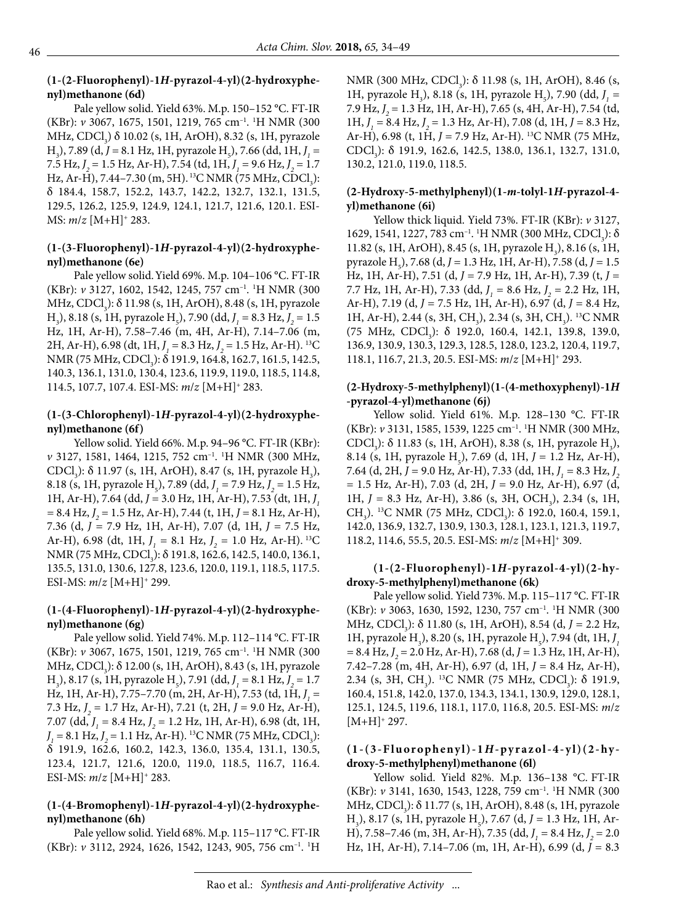### **(1-(2-Fluorophenyl)-1***H***-pyrazol-4-yl)(2-hydroxyphenyl)methanone (6d)**

Pale yellow solid. Yield 63%. M.p. 150–152 °C. FT-IR (KBr): *v* 3067, 1675, 1501, 1219, 765 cm–1. 1 H NMR (300 MHz, CDCl<sub>3</sub>) δ 10.02 (s, 1H, ArOH), 8.32 (s, 1H, pyrazole H<sub>3</sub>), 7.89 (d, *J* = 8.1 Hz, 1H, pyrazole H<sub>5</sub>), 7.66 (dd, 1H, *J*<sub>1</sub> = 7.5 Hz, *J 2* = 1.5 Hz, Ar-H), 7.54 (td, 1H, *J 1 =* 9.6 Hz, *J 2* = 1.7 Hz, Ar-H), 7.44–7.30 (m, 5H). <sup>13</sup>C NMR (75 MHz, CDCl<sub>3</sub>): δ 184.4, 158.7, 152.2, 143.7, 142.2, 132.7, 132.1, 131.5, 129.5, 126.2, 125.9, 124.9, 124.1, 121.7, 121.6, 120.1. ESI-MS: *m*/*z* [M+H]+ 283.

# **(1-(3-Fluorophenyl)-1***H***-pyrazol-4-yl)(2-hydroxyphenyl)methanone (6e)**

Pale yellow solid.Yield 69%. M.p. 104–106 °C. FT-IR (KBr): *v* 3127, 1602, 1542, 1245, 757 cm–1. 1 H NMR (300 MHz, CDCl<sub>3</sub>): δ 11.98 (s, 1H, ArOH), 8.48 (s, 1H, pyrazole  $H_3$ ), 8.18 (s, 1H, pyrazole  $H_5$ ), 7.90 (dd,  $J_1 = 8.3$  Hz,  $J_2 = 1.5$ Hz, 1H, Ar-H), 7.58–7.46 (m, 4H, Ar-H), 7.14–7.06 (m, 2H, Ar-H), 6.98 (dt, 1H, *J 1 =* 8.3 Hz, *J 2* = 1.5 Hz, Ar-H). 13C NMR (75 MHz, CDCl<sub>3</sub>): δ 191.9, 164.8, 162.7, 161.5, 142.5, 140.3, 136.1, 131.0, 130.4, 123.6, 119.9, 119.0, 118.5, 114.8, 114.5, 107.7, 107.4. ESI-MS: *m*/*z* [M+H]+ 283.

# **(1-(3-Chlorophenyl)-1***H***-pyrazol-4-yl)(2-hydroxyphenyl)methanone (6f)**

Yellow solid. Yield 66%. M.p. 94–96 °C. FT-IR (KBr): *v* 3127, 1581, 1464, 1215, 752 cm–1. 1 H NMR (300 MHz, CDCl<sub>3</sub>): δ 11.97 (s, 1H, ArOH), 8.47 (s, 1H, pyrazole H<sub>3</sub>), 8.18 (s, 1H, pyrazole H<sub><sub>5</sub></sub>), 7.89 (dd,  $J_1 = 7.9$  Hz,  $J_2 = 1.5$  Hz, 1H, Ar-H), 7.64 (dd, *J =* 3.0 Hz, 1H, Ar-H), 7.53 (dt, 1H, *J 1 =* 8.4 Hz, *J 2* = 1.5 Hz, Ar-H), 7.44 (t, 1H, *J =* 8.1 Hz, Ar-H), 7.36 (d, *J =* 7.9 Hz, 1H, Ar-H), 7.07 (d, 1H, *J =* 7.5 Hz, Ar-H), 6.98 (dt, 1H,  $J_1 = 8.1$  Hz,  $J_2 = 1.0$  Hz, Ar-H). <sup>13</sup>C NMR (75 MHz, CDCl<sub>3</sub>): δ 191.8, 162.6, 142.5, 140.0, 136.1, 135.5, 131.0, 130.6, 127.8, 123.6, 120.0, 119.1, 118.5, 117.5. ESI-MS: *m*/*z* [M+H]+ 299.

# **(1-(4-Fluorophenyl)-1***H***-pyrazol-4-yl)(2-hydroxyphenyl)methanone (6g)**

Pale yellow solid. Yield 74%. M.p. 112–114 °C. FT-IR (KBr): *v* 3067, 1675, 1501, 1219, 765 cm–1. 1 H NMR (300 MHz, CDCl<sub>3</sub>): δ 12.00 (s, 1H, ArOH), 8.43 (s, 1H, pyrazole  $H_3$ ), 8.17 (s, 1H, pyrazole  $H_5$ ), 7.91 (dd,  $J_1 = 8.1$  Hz,  $J_2 = 1.7$ Hz, 1H, Ar-H), 7.75–7.70 (m, 2H, Ar-H), 7.53 (td, 1H, *J 1 =*  7.3 Hz, *J 2* = 1.7 Hz, Ar-H), 7.21 (t, 2H, *J =* 9.0 Hz, Ar-H), 7.07 (dd, *J 1 =* 8.4 Hz, *J 2* = 1.2 Hz, 1H, Ar-H), 6.98 (dt, 1H, *J*<sub>1</sub> = 8.1 Hz, *J*<sub>2</sub> = 1.1 Hz, Ar-H). <sup>13</sup>C NMR (75 MHz, CDCl<sub>3</sub>): δ 191.9, 162.6, 160.2, 142.3, 136.0, 135.4, 131.1, 130.5, 123.4, 121.7, 121.6, 120.0, 119.0, 118.5, 116.7, 116.4. ESI-MS: *m*/*z* [M+H]+ 283.

# **(1-(4-Bromophenyl)-1***H***-pyrazol-4-yl)(2-hydroxyphenyl)methanone (6h)**

Pale yellow solid. Yield 68%. M.p. 115–117 °C. FT-IR (KBr): *v* 3112, 2924, 1626, 1542, 1243, 905, 756 cm–1. 1 H

NMR (300 MHz, CDCl<sub>3</sub>):  $\delta$  11.98 (s, 1H, ArOH), 8.46 (s, 1H, pyrazole H<sub>3</sub>), 8.18 (s, 1H, pyrazole H<sub>5</sub>), 7.90 (dd,  $J_1$  = 7.9 Hz, *J 2* = 1.3 Hz, 1H, Ar-H), 7.65 (s, 4H, Ar-H), 7.54 (td, 1H,  $J_1 = 8.4$  Hz,  $J_2 = 1.3$  Hz, Ar-H), 7.08 (d, 1H,  $J = 8.3$  Hz, Ar-H), 6.98 (t, 1H, *J =* 7.9 Hz, Ar-H). 13C NMR (75 MHz, CDCl<sub>3</sub>): δ 191.9, 162.6, 142.5, 138.0, 136.1, 132.7, 131.0, 130.2, 121.0, 119.0, 118.5.

# **(2-Hydroxy-5-methylphenyl)(1-***m***-tolyl-1***H***-pyrazol-4 yl)methanone (6i)**

Yellow thick liquid. Yield 73%. FT-IR (KBr): *v* 3127,  $1629, 1541, 1227, 783$  cm<sup>-1</sup>. <sup>1</sup>H NMR (300 MHz, CDCl<sub>3</sub>): δ 11.82 (s, 1H, ArOH), 8.45 (s, 1H, pyrazole  $H_3$ ), 8.16 (s, 1H, pyrazole H5 ), 7.68 (d, *J =* 1.3 Hz, 1H, Ar-H), 7.58 (d, *J =* 1.5 Hz, 1H, Ar-H), 7.51 (d, *J =* 7.9 Hz, 1H, Ar-H), 7.39 (t, *J =*  7.7 Hz, 1H, Ar-H), 7.33 (dd, *J 1 =* 8.6 Hz, *J 2* = 2.2 Hz, 1H, Ar-H), 7.19 (d, *J =* 7.5 Hz, 1H, Ar-H), 6.97 (d, *J =* 8.4 Hz, 1H, Ar-H), 2.44 (s, 3H, CH<sub>3</sub>), 2.34 (s, 3H, CH<sub>3</sub>). <sup>13</sup>C NMR (75 MHz, CDCl<sub>3</sub>):  $\delta$  192.0, 160.4, 142.1, 139.8, 139.0, 136.9, 130.9, 130.3, 129.3, 128.5, 128.0, 123.2, 120.4, 119.7, 118.1, 116.7, 21.3, 20.5. ESI-MS: *m*/*z* [M+H]+ 293.

### **(2-Hydroxy-5-methylphenyl)(1-(4-methoxyphenyl)-1***H*  **-pyrazol-4-yl)methanone (6j)**

Yellow solid. Yield 61%. M.p. 128–130 °C. FT-IR (KBr): *v* 3131, 1585, 1539, 1225 cm–1. 1 H NMR (300 MHz, CDCl<sub>3</sub>): δ 11.83 (s, 1H, ArOH), 8.38 (s, 1H, pyrazole H<sub>3</sub>), 8.14 (s, 1H, pyrazole H<sub>5</sub>), 7.69 (d, 1H, *J* = 1.2 Hz, Ar-H), 7.64 (d, 2H, *J =* 9.0 Hz, Ar-H), 7.33 (dd, 1H, *J 1 =* 8.3 Hz, *J 2* = 1.5 Hz, Ar-H), 7.03 (d, 2H, *J =* 9.0 Hz, Ar-H), 6.97 (d, 1H, *J* = 8.3 Hz, Ar-H), 3.86 (s, 3H, OCH<sub>3</sub>), 2.34 (s, 1H, CH<sub>3</sub>). <sup>13</sup>C NMR (75 MHz, CDCl<sub>3</sub>): δ 192.0, 160.4, 159.1, 142.0, 136.9, 132.7, 130.9, 130.3, 128.1, 123.1, 121.3, 119.7, 118.2, 114.6, 55.5, 20.5. ESI-MS: *m*/*z* [M+H]+ 309.

# **(1-(2-Fluorophenyl)-1***H***-pyrazol-4-yl)(2-hydroxy-5-methylphenyl)methanone (6k)**

Pale yellow solid. Yield 73%. M.p. 115–117 °C. FT-IR (KBr): *v* 3063, 1630, 1592, 1230, 757 cm–1. 1 H NMR (300 MHz, CDCl<sub>3</sub>): δ 11.80 (s, 1H, ArOH), 8.54 (d, *J* = 2.2 Hz, 1H, pyrazole H<sub>3</sub>), 8.20 (s, 1H, pyrazole H<sub>5</sub>), 7.94 (dt, 1H, *J*<sub>1</sub> *=* 8.4 Hz, *J 2* = 2.0 Hz, Ar-H), 7.68 (d, *J =* 1.3 Hz, 1H, Ar-H), 7.42–7.28 (m, 4H, Ar-H), 6.97 (d, 1H, *J =* 8.4 Hz, Ar-H), 2.34 (s, 3H, CH<sub>3</sub>). <sup>13</sup>C NMR (75 MHz, CDCl<sub>3</sub>):  $\delta$  191.9, 160.4, 151.8, 142.0, 137.0, 134.3, 134.1, 130.9, 129.0, 128.1, 125.1, 124.5, 119.6, 118.1, 117.0, 116.8, 20.5. ESI-MS: *m*/*z*  $[M+H]^+$  297.

# **(1-(3-Fluorophenyl)-1***H***-pyrazol-4-yl)(2-hy droxy-5-methylphenyl)methanone (6l)**

Yellow solid. Yield 82%. M.p. 136–138 °C. FT-IR (KBr): *v* 3141, 1630, 1543, 1228, 759 cm–1. 1 H NMR (300 MHz, CDCl<sub>3</sub>): δ 11.77 (s, 1H, ArOH), 8.48 (s, 1H, pyrazole H<sub>3</sub>), 8.17 (s, 1H, pyrazole H<sub>5</sub>), 7.67 (d, *J* = 1.3 Hz, 1H, Ar-H), 7.58–7.46 (m, 3H, Ar-H), 7.35 (dd, *J 1 =* 8.4 Hz, *J 2* = 2.0 Hz, 1H, Ar-H), 7.14–7.06 (m, 1H, Ar-H), 6.99 (d, *J* = 8.3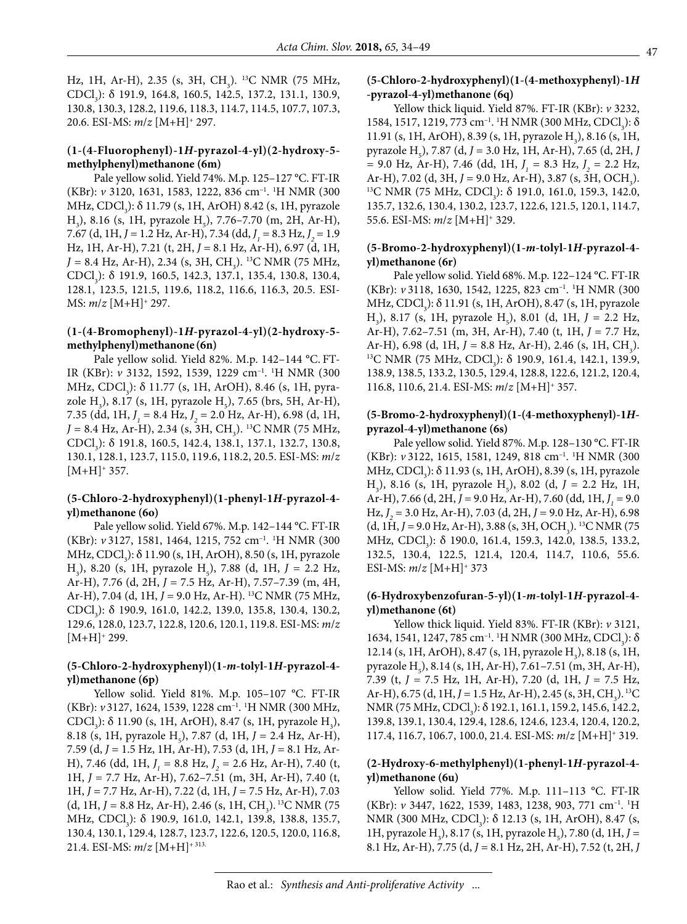Hz, 1H, Ar-H), 2.35 (s, 3H, CH<sub>3</sub>). <sup>13</sup>C NMR (75 MHz, CDCl<sub>3</sub>): δ 191.9, 164.8, 160.5, 142.5, 137.2, 131.1, 130.9, 130.8, 130.3, 128.2, 119.6, 118.3, 114.7, 114.5, 107.7, 107.3, 20.6. ESI-MS: *m*/*z* [M+H]+ 297.

### **(1-(4-Fluorophenyl)-1***H***-pyrazol-4-yl)(2-hydroxy-5 methylphenyl)methanone (6m)**

Pale yellow solid. Yield 74%. M.p. 125–127 °C. FT-IR (KBr): *v* 3120, 1631, 1583, 1222, 836 cm–1. 1 H NMR (300 MHz, CDCl<sub>3</sub>): δ 11.79 (s, 1H, ArOH) 8.42 (s, 1H, pyrazole  $H_3$ ), 8.16 (s, 1H, pyrazole  $H_5$ ), 7.76–7.70 (m, 2H, Ar-H), 7.67 (d, 1H, *J =* 1.2 Hz, Ar-H), 7.34 (dd, *J 1 =* 8.3 Hz, *J 2* = 1.9 Hz, 1H, Ar-H), 7.21 (t, 2H, *J =* 8.1 Hz, Ar-H), 6.97 (d, 1H, *J* = 8.4 Hz, Ar-H), 2.34 (s, 3H, CH<sub>3</sub>). <sup>13</sup>C NMR (75 MHz, CDCl<sub>3</sub>): δ 191.9, 160.5, 142.3, 137.1, 135.4, 130.8, 130.4, 128.1, 123.5, 121.5, 119.6, 118.2, 116.6, 116.3, 20.5. ESI-MS: *m*/*z* [M+H]+ 297.

#### **(1-(4-Bromophenyl)-1***H***-pyrazol-4-yl)(2-hydroxy-5 methylphenyl)methanone (6n)**

Pale yellow solid. Yield 82%. M.p. 142–144 °C. FT-IR (KBr): *v* 3132, 1592, 1539, 1229 cm–1. 1 H NMR (300 MHz, CDCl<sub>3</sub>): δ 11.77 (s, 1H, ArOH), 8.46 (s, 1H, pyrazole H<sub>3</sub>), 8.17 (s, 1H, pyrazole H<sub>5</sub>), 7.65 (brs, 5H, Ar-H), 7.35 (dd, 1H, *J 1 =* 8.4 Hz, *J 2* = 2.0 Hz, Ar-H), 6.98 (d, 1H, *J* = 8.4 Hz, Ar-H), 2.34 (s, 3H, CH<sub>3</sub>). <sup>13</sup>C NMR (75 MHz, CDCl<sub>3</sub>): δ 191.8, 160.5, 142.4, 138.1, 137.1, 132.7, 130.8, 130.1, 128.1, 123.7, 115.0, 119.6, 118.2, 20.5. ESI-MS: *m*/*z*   $[M+H]^+$  357.

#### **(5-Chloro-2-hydroxyphenyl)(1-phenyl-1***H***-pyrazol-4 yl)methanone (6o)**

Pale yellow solid. Yield 67%. M.p. 142–144 °C. FT-IR (KBr): *v* 3127, 1581, 1464, 1215, 752 cm–1. 1 H NMR (300 MHz, CDCl<sub>3</sub>): δ 11.90 (s, 1H, ArOH), 8.50 (s, 1H, pyrazole  $H_3$ ), 8.20 (s, 1H, pyrazole  $H_5$ ), 7.88 (d, 1H,  $J = 2.2$  Hz, Ar-H), 7.76 (d, 2H, *J =* 7.5 Hz, Ar-H), 7.57–7.39 (m, 4H, Ar-H), 7.04 (d, 1H, *J* = 9.0 Hz, Ar-H). 13C NMR (75 MHz, CDCl<sub>3</sub>): δ 190.9, 161.0, 142.2, 139.0, 135.8, 130.4, 130.2, 129.6, 128.0, 123.7, 122.8, 120.6, 120.1, 119.8. ESI-MS: *m*/*z*   $[M+H]^+$  299.

#### **(5-Chloro-2-hydroxyphenyl)(1-***m***-tolyl-1***H***-pyrazol-4 yl)methanone (6p)**

Yellow solid. Yield 81%. M.p. 105–107 °C. FT-IR (KBr): *v* 3127, 1624, 1539, 1228 cm–1. 1 H NMR (300 MHz, CDCl<sub>3</sub>): δ 11.90 (s, 1H, ArOH), 8.47 (s, 1H, pyrazole H<sub>3</sub>), 8.18 (s, 1H, pyrazole H<sub>5</sub>), 7.87 (d, 1H, *J* = 2.4 Hz, Ar-H), 7.59 (d, *J =* 1.5 Hz, 1H, Ar-H), 7.53 (d, 1H, *J =* 8.1 Hz, Ar-H), 7.46 (dd, 1H, *J 1 =* 8.8 Hz, *J 2* = 2.6 Hz, Ar-H), 7.40 (t, 1H, *J* = 7.7 Hz, Ar-H), 7.62–7.51 (m, 3H, Ar-H), 7.40 (t, 1H, *J* = 7.7 Hz, Ar-H), 7.22 (d, 1H, *J =* 7.5 Hz, Ar-H), 7.03  $(d, 1H, J = 8.8 \text{ Hz}, \text{Ar-H}), 2.46 \text{ (s, 1H, CH}_3).$ <sup>13</sup>C NMR (75 MHz, CDCl<sub>3</sub>): δ 190.9, 161.0, 142.1, 139.8, 138.8, 135.7, 130.4, 130.1, 129.4, 128.7, 123.7, 122.6, 120.5, 120.0, 116.8, 21.4. ESI-MS: *m*/*z* [M+H]+ 313.

#### **(5-Chloro-2-hydroxyphenyl)(1-(4-methoxyphenyl)-1***H*  **-pyrazol-4-yl)methanone (6q)**

Yellow thick liquid. Yield 87%. FT-IR (KBr): *v* 3232, 1584, 1517, 1219, 773 cm<sup>-1</sup>. <sup>1</sup>H NMR (300 MHz, CDCl<sub>3</sub>): δ 11.91 (s, 1H, ArOH), 8.39 (s, 1H, pyrazole  $H_3$ ), 8.16 (s, 1H, pyrazole H<sub>5</sub>), 7.87 (d, *J* = 3.0 Hz, 1H, Ar-H), 7.65 (d, 2H, *J =* 9.0 Hz, Ar-H), 7.46 (dd, 1H, *J 1 =* 8.3 Hz, *J 2* = 2.2 Hz, Ar-H), 7.02 (d, 3H,  $J = 9.0$  Hz, Ar-H), 3.87 (s, 3H, OCH<sub>3</sub>). Ar-H), 7.02 (d, 3H, J = 9.0 Hz, Ar-H), 3.87 (s, 3H, OCH<sub>3</sub>).<br><sup>13</sup>C NMR (75 MHz, CDCl<sub>3</sub>): δ 191.0, 161.0, 159.3, 142.0, 135.7, 132.6, 130.4, 130.2, 123.7, 122.6, 121.5, 120.1, 114.7, 55.6. ESI-MS: *m*/*z* [M+H]+ 329.

### **(5-Bromo-2-hydroxyphenyl)(1-***m***-tolyl-1***H***-pyrazol-4 yl)methanone (6r)**

Pale yellow solid. Yield 68%. M.p. 122–124 °C. FT-IR (KBr): *v* 3118, 1630, 1542, 1225, 823 cm–1. 1 H NMR (300 MHz, CDCl<sub>3</sub>): δ 11.91 (s, 1H, ArOH), 8.47 (s, 1H, pyrazole  $H_3$ ), 8.17 (s, 1H, pyrazole  $H_5$ ), 8.01 (d, 1H,  $J = 2.2$  Hz, Ar-H), 7.62–7.51 (m, 3H, Ar-H), 7.40 (t, 1H, *J* = 7.7 Hz, Ar-H), 6.98 (d, 1H,  $J = 8.8$  Hz, Ar-H), 2.46 (s, 1H, CH<sub>3</sub>). Ar-H), 6.98 (d, 1H, *J* = 8.8 Hz, Ar-H), 2.46 (s, 1H, CH<sub>3</sub>).<br><sup>13</sup>C NMR (75 MHz, CDCl<sub>3</sub>): δ 190.9, 161.4, 142.1, 139.9, 138.9, 138.5, 133.2, 130.5, 129.4, 128.8, 122.6, 121.2, 120.4, 116.8, 110.6, 21.4. ESI-MS: *m*/*z* [M+H]+ 357.

#### **(5-Bromo-2-hydroxyphenyl)(1-(4-methoxyphenyl)-1***H***pyrazol-4-yl)methanone (6s)**

Pale yellow solid. Yield 87%. M.p. 128–130 °C. FT-IR (KBr): *v* 3122, 1615, 1581, 1249, 818 cm–1. 1 H NMR (300 MHz, CDCl<sub>3</sub>): δ 11.93 (s, 1H, ArOH), 8.39 (s, 1H, pyrazole  $H_3$ ), 8.16 (s, 1H, pyrazole H<sub>5</sub>), 8.02 (d, *J* = 2.2 Hz, 1H, Ar-H), 7.66 (d, 2H, *J* = 9.0 Hz, Ar-H), 7.60 (dd, 1H, *J*<sub>1</sub> = 9.0 Hz, *J 2* = 3.0 Hz, Ar-H), 7.03 (d, 2H, *J =* 9.0 Hz, Ar-H), 6.98 (d, 1H, *J* = 9.0 Hz, Ar-H), 3.88 (s, 3H, OCH<sub>3</sub>). <sup>13</sup>C NMR (75 MHz, CDCl<sub>3</sub>): δ 190.0, 161.4, 159.3, 142.0, 138.5, 133.2, 132.5, 130.4, 122.5, 121.4, 120.4, 114.7, 110.6, 55.6. ESI-MS: *m*/*z* [M+H]+ 373

#### **(6-Hydroxybenzofuran-5-yl)(1-***m***-tolyl-1***H***-pyrazol-4 yl)methanone (6t)**

Yellow thick liquid. Yield 83%. FT-IR (KBr): *v* 3121,  $1634, 1541, 1247, 785$  cm<sup>-1</sup>. <sup>1</sup>H NMR (300 MHz, CDCl<sub>3</sub>): δ 12.14 (s, 1H, ArOH), 8.47 (s, 1H, pyrazole H<sub>3</sub>), 8.18 (s, 1H, pyrazole  $H_5$ ), 8.14 (s, 1H, Ar-H), 7.61–7.51 (m, 3H, Ar-H), 7.39 (t, *J =* 7.5 Hz, 1H, Ar-H), 7.20 (d, 1H, *J =* 7.5 Hz, Ar-H), 6.75 (d, 1H, *J* = 1.5 Hz, Ar-H), 2.45 (s, 3H, CH<sub>3</sub>).<sup>13</sup>C NMR (75 MHz, CDCl<sub>3</sub>): δ 192.1, 161.1, 159.2, 145.6, 142.2, 139.8, 139.1, 130.4, 129.4, 128.6, 124.6, 123.4, 120.4, 120.2, 117.4, 116.7, 106.7, 100.0, 21.4. ESI-MS: *m*/*z* [M+H]+ 319.

#### **(2-Hydroxy-6-methylphenyl)(1-phenyl-1***H***-pyrazol-4 yl)methanone (6u)**

Yellow solid. Yield 77%. M.p. 111–113 °C. FT-IR (KBr): *v* 3447, 1622, 1539, 1483, 1238, 903, 771 cm–1. 1 H NMR (300 MHz, CDCl<sub>3</sub>): δ 12.13 (s, 1H, ArOH), 8.47 (s, 1H, pyrazole H<sub>3</sub>), 8.17 (s, 1H, pyrazole H<sub>5</sub>), 7.80 (d, 1H, *J* = 8.1 Hz, Ar-H), 7.75 (d, *J =* 8.1 Hz, 2H, Ar-H), 7.52 (t, 2H, *J*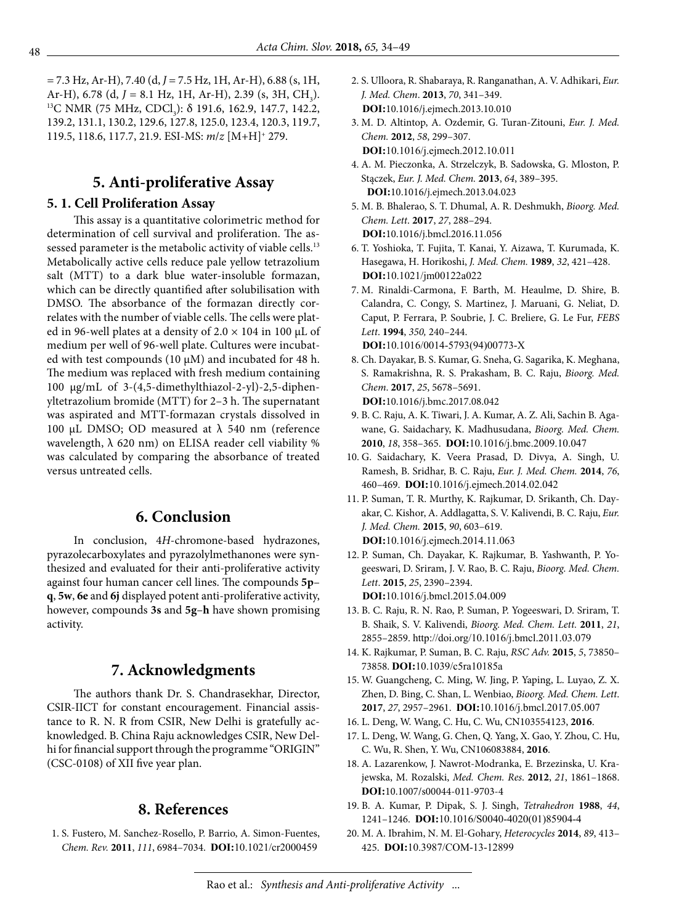*=* 7.3 Hz, Ar-H), 7.40 (d, *J =* 7.5 Hz, 1H, Ar-H), 6.88 (s, 1H, Ar-H), 6.78 (d, *J* = 8.1 Hz, 1H, Ar-H), 2.39 (s, 3H, CH<sub>2</sub>). Ar-H), 6.78 (d, J = 8.1 Hz, 1H, Ar-H), 2.39 (s, 3H, CH<sub>3</sub>).<br><sup>13</sup>C NMR (75 MHz, CDCl<sub>3</sub>): δ 191.6, 162.9, 147.7, 142.2, 139.2, 131.1, 130.2, 129.6, 127.8, 125.0, 123.4, 120.3, 119.7, 119.5, 118.6, 117.7, 21.9. ESI-MS: *m*/*z* [M+H]+ 279.

# **5. Anti-proliferative Assay**

# **5. 1. Cell Proliferation Assay**

This assay is a quantitative colorimetric method for determination of cell survival and proliferation. The assessed parameter is the metabolic activity of viable cells.<sup>13</sup> Metabolically active cells reduce pale yellow tetrazolium salt (MTT) to a dark blue water-insoluble formazan, which can be directly quantified after solubilisation with DMSO. The absorbance of the formazan directly correlates with the number of viable cells. The cells were plated in 96-well plates at a density of  $2.0 \times 104$  in 100 µL of medium per well of 96-well plate. Cultures were incubated with test compounds (10  $\mu$ M) and incubated for 48 h. The medium was replaced with fresh medium containing 100 µg/mL of 3-(4,5-dimethylthiazol-2-yl)-2,5-diphenyltetrazolium bromide (MTT) for 2–3 h. The supernatant was aspirated and MTT-formazan crystals dissolved in 100 μL DMSO; OD measured at  $\lambda$  540 nm (reference wavelength,  $\lambda$  620 nm) on ELISA reader cell viability % was calculated by comparing the absorbance of treated versus untreated cells.

# **6. Conclusion**

In conclusion, 4*H*-chromone-based hydrazones, pyrazolecarboxylates and pyrazolylmethanones were synthesized and evaluated for their anti-proliferative activity against four human cancer cell lines. The compounds **5p**– **q**, **5w**, **6e** and **6j** displayed potent anti-proliferative activity, however, compounds **3s** and **5g**–**h** have shown promising activity.

# **7. Acknowledgments**

The authors thank Dr. S. Chandrasekhar, Director, CSIR-IICT for constant encouragement. Financial assistance to R. N. R from CSIR, New Delhi is gratefully acknowledged. B. China Raju acknowledges CSIR, New Delhi for financial support through the programme "ORIGIN" (CSC-0108) of XII five year plan.

# **8. References**

 1. S. Fustero, M. Sanchez-Rosello, P. Barrio, A. Simon-Fuentes, *Chem. Rev.* **2011**, *111*, 6984–7034. **DOI:**[10.1021/cr2000459](http://dx.doi.org/10.1021/cr2000459)

- 2. S. Ulloora, R. Shabaraya, R. Ranganathan, A. V. Adhikari, *Eur. J. Med. Chem*. **2013**, *70*, 341–349. **DOI:**10.1016/j.ejmech.2013.10.010
- 3. M. D. Altintop, A. Ozdemir, G. Turan-Zitouni, *Eur. J. Med. Chem.* **2012**, *58*, 299–307. **DOI:**[10.1016/j.ejmech.2012.10.011](http://doi.org/10.1016/j.ejmech.2012.10.011)
- 4. A. M. Pieczonka, A. Strzelczyk, B. Sadowska, G. Mloston, P. Stączek, *Eur. J. Med. Chem.* **2013**, *64*, 389–395. **DOI:**10.1016/j.ejmech.2013.04.023
- 5. M. B. Bhalerao, S. T. Dhumal, A. R. Deshmukh, *Bioorg. Med. Chem. Lett*. **2017**, *27*, 288–294. **DOI:**10.1016/j.bmcl.2016.11.056
- 6. T. Yoshioka, T. Fujita, T. Kanai, Y. Aizawa, T. Kurumada, K. Hasegawa, H. Horikoshi, *J. Med. Chem.* **1989**, *32*, 421–428. **DOI:**[10.1021/jm00122a022](http://dx.doi.org/10.1021/jm00122a022)
- 7. M. Rinaldi-Carmona, F. Barth, M. Heaulme, D. Shire, B. Calandra, C. Congy, S. Martinez, J. Maruani, G. Neliat, D. Caput, P. Ferrara, P. Soubrie, J. C. Breliere, G. Le Fur, *FEBS Lett*. **1994**, *350,* 240–244. **DOI:**[10.1016/0014-5793\(94\)00773-X](http://dx.doi.org/10.1016/0014-5793(94)00773-X)
- 8. Ch. Dayakar, B. S. Kumar, G. Sneha, G. Sagarika, K. Meghana, S. Ramakrishna, R. S. Prakasham, B. C. Raju, *Bioorg. Med. Chem*. **2017**, *25*, 5678–5691. **DOI:**10.1016/j.bmc.2017.08.042
- 9. B. C. Raju, A. K. Tiwari, J. A. Kumar, A. Z. Ali, Sachin B. Agawane, G. Saidachary, K. Madhusudana, *Bioorg. Med. Chem.* **2010**, *18*, 358–365. **DOI:**[10.1016/j.bmc.2009.10.047](http://dx.doi:10.1016/j.bmc.2009.10.047)
- 10. G. Saidachary, K. Veera Prasad, D. Divya, A. Singh, U. Ramesh, B. Sridhar, B. C. Raju, *Eur. J. Med. Chem.* **2014**, *76*, 460–469. **DOI:**[10.1016/j.ejmech.2014.02.042](http://dx.doi.org/10.1016/j.ejmech.2014.02.042)
- 11. P. Suman, T. R. Murthy, K. Rajkumar, D. Srikanth, Ch. Dayakar, C. Kishor, A. Addlagatta, S. V. Kalivendi, B. C. Raju, *Eur. J. Med. Chem.* **2015**, *90*, 603–619. **DOI:**[10.1016/j.ejmech.2014.11.063](http://dx.doi.org/10.1016/j.ejmech.2014.11.063)
- 12. P. Suman, Ch. Dayakar, K. Rajkumar, B. Yashwanth, P. Yogeeswari, D. Sriram, J. V. Rao, B. C. Raju, *Bioorg. Med. Chem. Lett*. **2015**, *25*, 2390–2394. **DOI:**[10.1016/j.bmcl.2015.04.009](http://dx.doi.org/10.1016/j.bmcl.2015.04.009)
- 13. B. C. Raju, R. N. Rao, P. Suman, P. Yogeeswari, D. Sriram, T. B. Shaik, S. V. Kalivendi, *Bioorg. Med. Chem. Lett.* **2011**, *21*, 2855–2859. <http://doi.org/10.1016/j.bmcl.2011.03.079>
- 14. K. Rajkumar, P. Suman, B. C. Raju, *RSC Adv.* **2015**, *5*, 73850– 73858. **DOI:**[10.1039/c5ra10185a](http://dx.doi.org/10.1039/c5ra10185a)
- 15. W. Guangcheng, C. Ming, W. Jing, P. Yaping, L. Luyao, Z. X. Zhen, D. Bing, C. Shan, L. Wenbiao, *Bioorg. Med. Chem. Lett*. **2017**, *27*, 2957–2961. **DOI:**[10.1016/j.bmcl.2017.05.007](http://doi.org/10.1016/j.bmcl.2017.05.007)
- 16. L. Deng, W. Wang, C. Hu, C. Wu, CN103554123, **2016**.
- 17. L. Deng, W. Wang, G. Chen, Q. Yang, X. Gao, Y. Zhou, C. Hu, C. Wu, R. Shen, Y. Wu, CN106083884, **2016**.
- 18. A. Lazarenkow, J. Nawrot-Modranka, E. Brzezinska, U. Krajewska, M. Rozalski, *Med. Chem. Res*. **2012**, *21*, 1861–1868. **DOI:**10.1007/s00044-011-9703-4
- 19. B. A. Kumar, P. Dipak, S. J. Singh, *Tetrahedron* **1988**, *44*, 1241–1246. **DOI:**[10.1016/S0040-4020\(01\)85904-4](http://dx.doi.org/10.1016/S0040-4020(01)85904-4)
- 20. M. A. Ibrahim, N. M. El-Gohary, *Heterocycles* **2014**, *89*, 413– 425. **DOI:**[10.3987/COM-13-12899](http://doi.org/10.3987/COM-13-12899)